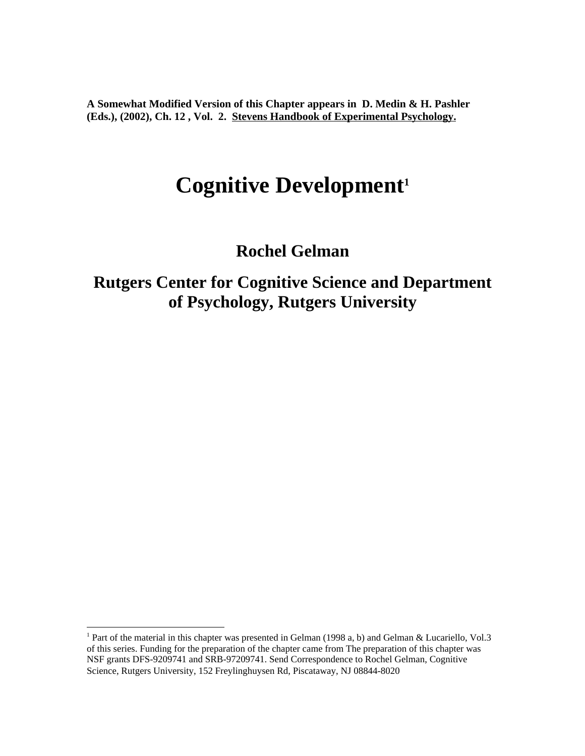**A Somewhat Modified Version of this Chapter appears in D. Medin & H. Pashler (Eds.), (2002), Ch. 12 , Vol. 2. Stevens Handbook of Experimental Psychology.**

# **Cognitive Development<sup>1</sup>**

**Rochel Gelman**

**Rutgers Center for Cognitive Science and Department of Psychology, Rutgers University**

<sup>&</sup>lt;sup>1</sup> Part of the material in this chapter was presented in Gelman (1998 a, b) and Gelman & Lucariello, Vol.3 of this series. Funding for the preparation of the chapter came from The preparation of this chapter was NSF grants DFS-9209741 and SRB-97209741. Send Correspondence to Rochel Gelman, Cognitive Science, Rutgers University, 152 Freylinghuysen Rd, Piscataway, NJ 08844-8020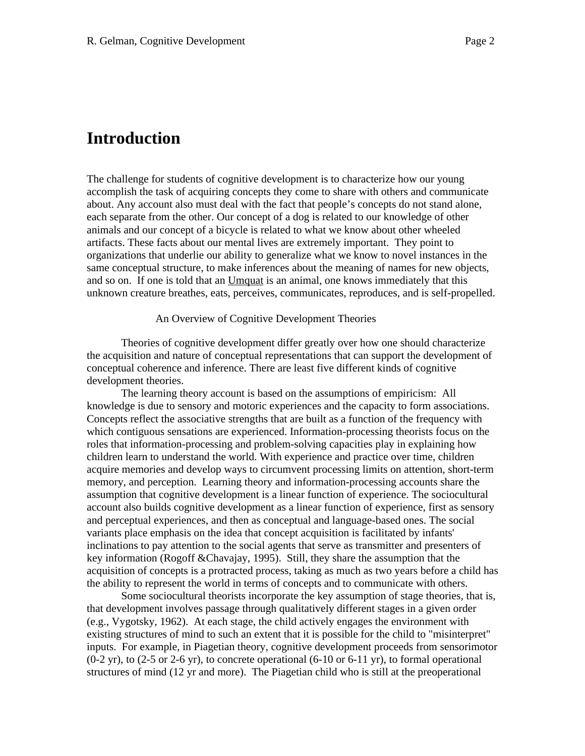# **Introduction**

The challenge for students of cognitive development is to characterize how our young accomplish the task of acquiring concepts they come to share with others and communicate about. Any account also must deal with the fact that people's concepts do not stand alone, each separate from the other. Our concept of a dog is related to our knowledge of other animals and our concept of a bicycle is related to what we know about other wheeled artifacts. These facts about our mental lives are extremely important. They point to organizations that underlie our ability to generalize what we know to novel instances in the same conceptual structure, to make inferences about the meaning of names for new objects, and so on. If one is told that an Umquat is an animal, one knows immediately that this unknown creature breathes, eats, perceives, communicates, reproduces, and is self-propelled.

#### An Overview of Cognitive Development Theories

Theories of cognitive development differ greatly over how one should characterize the acquisition and nature of conceptual representations that can support the development of conceptual coherence and inference. There are least five different kinds of cognitive development theories.

The learning theory account is based on the assumptions of empiricism: All knowledge is due to sensory and motoric experiences and the capacity to form associations. Concepts reflect the associative strengths that are built as a function of the frequency with which contiguous sensations are experienced. Information-processing theorists focus on the roles that information-processing and problem-solving capacities play in explaining how children learn to understand the world. With experience and practice over time, children acquire memories and develop ways to circumvent processing limits on attention, short-term memory, and perception. Learning theory and information-processing accounts share the assumption that cognitive development is a linear function of experience. The sociocultural account also builds cognitive development as a linear function of experience, first as sensory and perceptual experiences, and then as conceptual and language-based ones. The social variants place emphasis on the idea that concept acquisition is facilitated by infants' inclinations to pay attention to the social agents that serve as transmitter and presenters of key information (Rogoff &Chavajay, 1995). Still, they share the assumption that the acquisition of concepts is a protracted process, taking as much as two years before a child has the ability to represent the world in terms of concepts and to communicate with others.

Some sociocultural theorists incorporate the key assumption of stage theories*,* that is, that development involves passage through qualitatively different stages in a given order (e.g., Vygotsky, 1962). At each stage, the child actively engages the environment with existing structures of mind to such an extent that it is possible for the child to "misinterpret" inputs. For example, in Piagetian theory, cognitive development proceeds from sensorimotor  $(0-2 \text{ yr})$ , to  $(2-5 \text{ or } 2-6 \text{ yr})$ , to concrete operational  $(6-10 \text{ or } 6-11 \text{ yr})$ , to formal operational structures of mind (12 yr and more). The Piagetian child who is still at the preoperational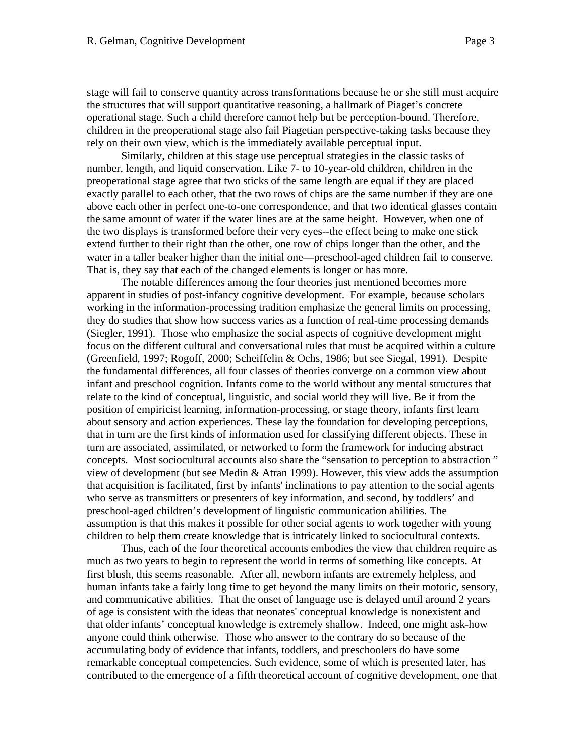stage will fail to conserve quantity across transformations because he or she still must acquire the structures that will support quantitative reasoning, a hallmark of Piaget's concrete operational stage. Such a child therefore cannot help but be perception-bound. Therefore, children in the preoperational stage also fail Piagetian perspective-taking tasks because they rely on their own view, which is the immediately available perceptual input.

Similarly, children at this stage use perceptual strategies in the classic tasks of number, length, and liquid conservation. Like 7- to 10-year-old children, children in the preoperational stage agree that two sticks of the same length are equal if they are placed exactly parallel to each other, that the two rows of chips are the same number if they are one above each other in perfect one-to-one correspondence, and that two identical glasses contain the same amount of water if the water lines are at the same height. However, when one of the two displays is transformed before their very eyes--the effect being to make one stick extend further to their right than the other, one row of chips longer than the other, and the water in a taller beaker higher than the initial one—preschool-aged children fail to conserve. That is, they say that each of the changed elements is longer or has more.

The notable differences among the four theories just mentioned becomes more apparent in studies of post-infancy cognitive development. For example, because scholars working in the information-processing tradition emphasize the general limits on processing, they do studies that show how success varies as a function of real-time processing demands (Siegler, 1991). Those who emphasize the social aspects of cognitive development might focus on the different cultural and conversational rules that must be acquired within a culture (Greenfield, 1997; Rogoff, 2000; Scheiffelin & Ochs, 1986; but see Siegal, 1991). Despite the fundamental differences, all four classes of theories converge on a common view about infant and preschool cognition. Infants come to the world without any mental structures that relate to the kind of conceptual, linguistic, and social world they will live. Be it from the position of empiricist learning, information-processing, or stage theory, infants first learn about sensory and action experiences. These lay the foundation for developing perceptions, that in turn are the first kinds of information used for classifying different objects. These in turn are associated, assimilated, or networked to form the framework for inducing abstract concepts. Most sociocultural accounts also share the "sensation to perception to abstraction " view of development (but see Medin & Atran 1999). However, this view adds the assumption that acquisition is facilitated, first by infants' inclinations to pay attention to the social agents who serve as transmitters or presenters of key information, and second, by toddlers' and preschool-aged children's development of linguistic communication abilities. The assumption is that this makes it possible for other social agents to work together with young children to help them create knowledge that is intricately linked to sociocultural contexts.

Thus, each of the four theoretical accounts embodies the view that children require as much as two years to begin to represent the world in terms of something like concepts. At first blush, this seems reasonable. After all, newborn infants are extremely helpless, and human infants take a fairly long time to get beyond the many limits on their motoric, sensory, and communicative abilities. That the onset of language use is delayed until around 2 years of age is consistent with the ideas that neonates' conceptual knowledge is nonexistent and that older infants' conceptual knowledge is extremely shallow. Indeed, one might ask-how anyone could think otherwise. Those who answer to the contrary do so because of the accumulating body of evidence that infants, toddlers, and preschoolers do have some remarkable conceptual competencies. Such evidence, some of which is presented later, has contributed to the emergence of a fifth theoretical account of cognitive development, one that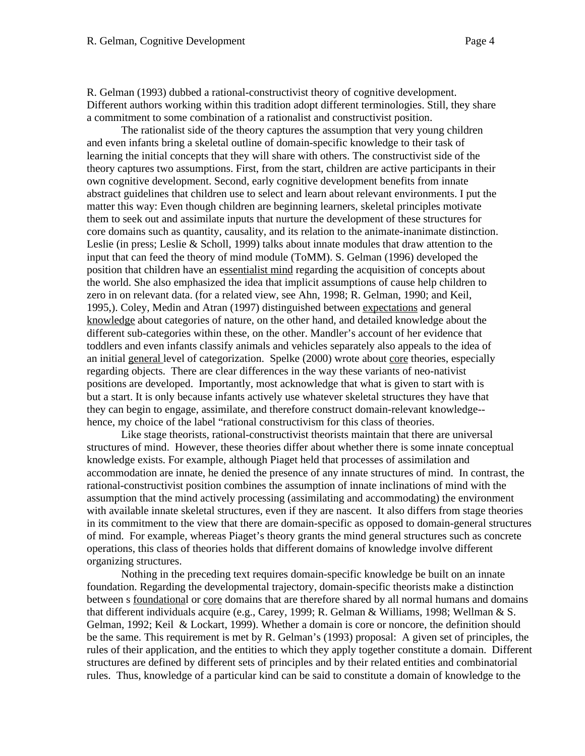R. Gelman (1993) dubbed a rational-constructivist theory of cognitive development. Different authors working within this tradition adopt different terminologies. Still, they share a commitment to some combination of a rationalist and constructivist position.

The rationalist side of the theory captures the assumption that very young children and even infants bring a skeletal outline of domain-specific knowledge to their task of learning the initial concepts that they will share with others. The constructivist side of the theory captures two assumptions. First, from the start, children are active participants in their own cognitive development. Second, early cognitive development benefits from innate abstract guidelines that children use to select and learn about relevant environments. I put the matter this way: Even though children are beginning learners, skeletal principles motivate them to seek out and assimilate inputs that nurture the development of these structures for core domains such as quantity, causality, and its relation to the animate-inanimate distinction. Leslie (in press; Leslie & Scholl, 1999) talks about innate modules that draw attention to the input that can feed the theory of mind module (ToMM). S. Gelman (1996) developed the position that children have an essentialist mind regarding the acquisition of concepts about the world. She also emphasized the idea that implicit assumptions of cause help children to zero in on relevant data. (for a related view, see Ahn, 1998; R. Gelman, 1990; and Keil, 1995,). Coley, Medin and Atran (1997) distinguished between expectations and general knowledge about categories of nature, on the other hand, and detailed knowledge about the different sub-categories within these, on the other. Mandler's account of her evidence that toddlers and even infants classify animals and vehicles separately also appeals to the idea of an initial general level of categorization. Spelke (2000) wrote about core theories, especially regarding objects. There are clear differences in the way these variants of neo-nativist positions are developed. Importantly, most acknowledge that what is given to start with is but a start. It is only because infants actively use whatever skeletal structures they have that they can begin to engage, assimilate, and therefore construct domain-relevant knowledge- hence, my choice of the label "rational constructivism for this class of theories.

Like stage theorists, rational-constructivist theorists maintain that there are universal structures of mind. However, these theories differ about whether there is some innate conceptual knowledge exists. For example, although Piaget held that processes of assimilation and accommodation are innate, he denied the presence of any innate structures of mind. In contrast, the rational-constructivist position combines the assumption of innate inclinations of mind with the assumption that the mind actively processing (assimilating and accommodating) the environment with available innate skeletal structures, even if they are nascent. It also differs from stage theories in its commitment to the view that there are domain-specific as opposed to domain-general structures of mind. For example, whereas Piaget's theory grants the mind general structures such as concrete operations, this class of theories holds that different domains of knowledge involve different organizing structures.

Nothing in the preceding text requires domain-specific knowledge be built on an innate foundation. Regarding the developmental trajectory, domain-specific theorists make a distinction between s foundational or core domains that are therefore shared by all normal humans and domains that different individuals acquire (e.g., Carey, 1999; R. Gelman & Williams, 1998; Wellman & S. Gelman, 1992; Keil & Lockart, 1999). Whether a domain is core or noncore, the definition should be the same. This requirement is met by R. Gelman's (1993) proposal: A given set of principles, the rules of their application, and the entities to which they apply together constitute a domain. Different structures are defined by different sets of principles and by their related entities and combinatorial rules. Thus, knowledge of a particular kind can be said to constitute a domain of knowledge to the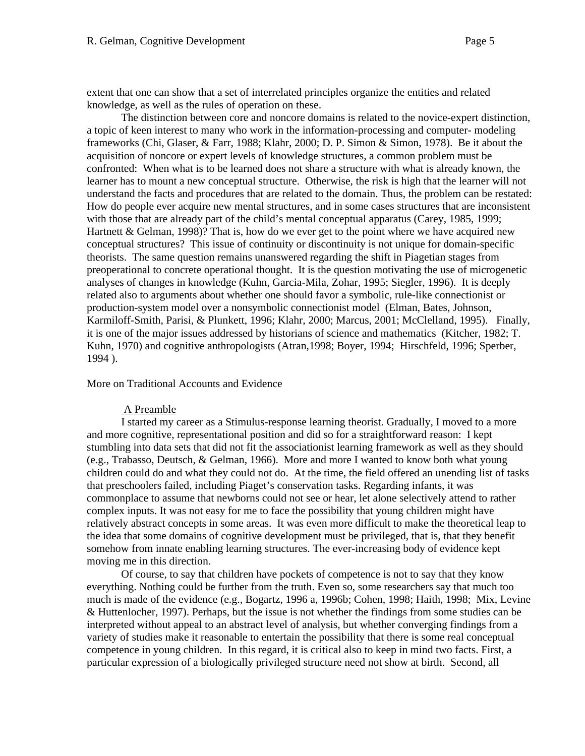extent that one can show that a set of interrelated principles organize the entities and related knowledge, as well as the rules of operation on these.

The distinction between core and noncore domains is related to the novice-expert distinction, a topic of keen interest to many who work in the information-processing and computer- modeling frameworks (Chi, Glaser, & Farr, 1988; Klahr, 2000; D. P. Simon & Simon, 1978). Be it about the acquisition of noncore or expert levels of knowledge structures, a common problem must be confronted: When what is to be learned does not share a structure with what is already known, the learner has to mount a new conceptual structure. Otherwise, the risk is high that the learner will not understand the facts and procedures that are related to the domain. Thus, the problem can be restated: How do people ever acquire new mental structures, and in some cases structures that are inconsistent with those that are already part of the child's mental conceptual apparatus (Carey, 1985, 1999; Hartnett & Gelman, 1998)? That is, how do we ever get to the point where we have acquired new conceptual structures? This issue of continuity or discontinuity is not unique for domain-specific theorists. The same question remains unanswered regarding the shift in Piagetian stages from preoperational to concrete operational thought. It is the question motivating the use of microgenetic analyses of changes in knowledge (Kuhn, Garcia-Mila, Zohar, 1995; Siegler, 1996). It is deeply related also to arguments about whether one should favor a symbolic, rule-like connectionist or production-system model over a nonsymbolic connectionist model (Elman, Bates, Johnson, Karmiloff-Smith, Parisi, & Plunkett, 1996; Klahr, 2000; Marcus, 2001; McClelland, 1995). Finally, it is one of the major issues addressed by historians of science and mathematics (Kitcher, 1982; T. Kuhn, 1970) and cognitive anthropologists (Atran,1998; Boyer, 1994; Hirschfeld, 1996; Sperber, 1994 ).

More on Traditional Accounts and Evidence

#### A Preamble

I started my career as a Stimulus-response learning theorist. Gradually, I moved to a more and more cognitive, representational position and did so for a straightforward reason: I kept stumbling into data sets that did not fit the associationist learning framework as well as they should (e.g., Trabasso, Deutsch, & Gelman, 1966). More and more I wanted to know both what young children could do and what they could not do. At the time, the field offered an unending list of tasks that preschoolers failed, including Piaget's conservation tasks. Regarding infants, it was commonplace to assume that newborns could not see or hear, let alone selectively attend to rather complex inputs. It was not easy for me to face the possibility that young children might have relatively abstract concepts in some areas. It was even more difficult to make the theoretical leap to the idea that some domains of cognitive development must be privileged, that is, that they benefit somehow from innate enabling learning structures. The ever-increasing body of evidence kept moving me in this direction.

Of course, to say that children have pockets of competence is not to say that they know everything. Nothing could be further from the truth. Even so, some researchers say that much too much is made of the evidence (e.g., Bogartz, 1996 a, 1996b; Cohen, 1998; Haith, 1998; Mix, Levine & Huttenlocher, 1997). Perhaps, but the issue is not whether the findings from some studies can be interpreted without appeal to an abstract level of analysis, but whether converging findings from a variety of studies make it reasonable to entertain the possibility that there is some real conceptual competence in young children. In this regard, it is critical also to keep in mind two facts. First, a particular expression of a biologically privileged structure need not show at birth. Second, all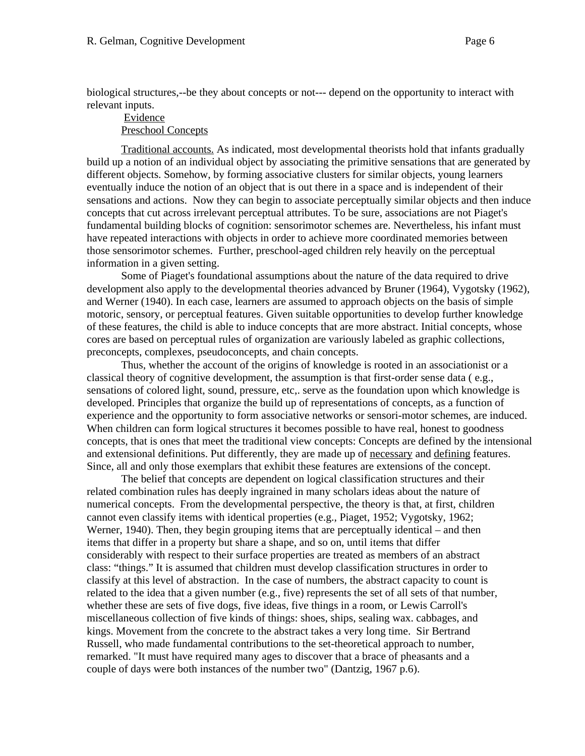biological structures,--be they about concepts or not--- depend on the opportunity to interact with relevant inputs.

# Evidence Preschool Concepts

Traditional accounts. As indicated, most developmental theorists hold that infants gradually build up a notion of an individual object by associating the primitive sensations that are generated by different objects. Somehow, by forming associative clusters for similar objects, young learners eventually induce the notion of an object that is out there in a space and is independent of their sensations and actions. Now they can begin to associate perceptually similar objects and then induce concepts that cut across irrelevant perceptual attributes. To be sure, associations are not Piaget's fundamental building blocks of cognition: sensorimotor schemes are. Nevertheless, his infant must have repeated interactions with objects in order to achieve more coordinated memories between those sensorimotor schemes. Further, preschool-aged children rely heavily on the perceptual information in a given setting.

Some of Piaget's foundational assumptions about the nature of the data required to drive development also apply to the developmental theories advanced by Bruner (1964), Vygotsky (1962), and Werner (1940). In each case, learners are assumed to approach objects on the basis of simple motoric, sensory, or perceptual features. Given suitable opportunities to develop further knowledge of these features, the child is able to induce concepts that are more abstract. Initial concepts, whose cores are based on perceptual rules of organization are variously labeled as graphic collections, preconcepts, complexes, pseudoconcepts, and chain concepts.

Thus, whether the account of the origins of knowledge is rooted in an associationist or a classical theory of cognitive development, the assumption is that first-order sense data ( e.g., sensations of colored light, sound, pressure, etc,. serve as the foundation upon which knowledge is developed. Principles that organize the build up of representations of concepts, as a function of experience and the opportunity to form associative networks or sensori-motor schemes, are induced. When children can form logical structures it becomes possible to have real, honest to goodness concepts, that is ones that meet the traditional view concepts: Concepts are defined by the intensional and extensional definitions. Put differently, they are made up of necessary and defining features. Since, all and only those exemplars that exhibit these features are extensions of the concept.

The belief that concepts are dependent on logical classification structures and their related combination rules has deeply ingrained in many scholars ideas about the nature of numerical concepts. From the developmental perspective, the theory is that, at first, children cannot even classify items with identical properties (e.g., Piaget, 1952; Vygotsky, 1962; Werner, 1940). Then, they begin grouping items that are perceptually identical – and then items that differ in a property but share a shape, and so on, until items that differ considerably with respect to their surface properties are treated as members of an abstract class: "things." It is assumed that children must develop classification structures in order to classify at this level of abstraction. In the case of numbers, the abstract capacity to count is related to the idea that a given number (e.g., five) represents the set of all sets of that number, whether these are sets of five dogs, five ideas, five things in a room, or Lewis Carroll's miscellaneous collection of five kinds of things: shoes, ships, sealing wax. cabbages, and kings. Movement from the concrete to the abstract takes a very long time. Sir Bertrand Russell, who made fundamental contributions to the set-theoretical approach to number, remarked. "It must have required many ages to discover that a brace of pheasants and a couple of days were both instances of the number two" (Dantzig, 1967 p.6).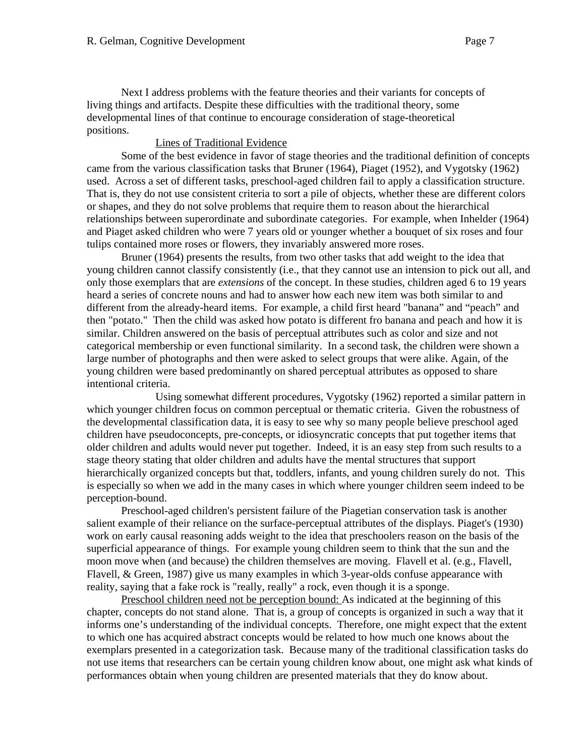Next I address problems with the feature theories and their variants for concepts of living things and artifacts. Despite these difficulties with the traditional theory, some developmental lines of that continue to encourage consideration of stage-theoretical positions.

# Lines of Traditional Evidence

Some of the best evidence in favor of stage theories and the traditional definition of concepts came from the various classification tasks that Bruner (1964), Piaget (1952), and Vygotsky (1962) used. Across a set of different tasks, preschool-aged children fail to apply a classification structure. That is, they do not use consistent criteria to sort a pile of objects, whether these are different colors or shapes, and they do not solve problems that require them to reason about the hierarchical relationships between superordinate and subordinate categories. For example, when Inhelder (1964) and Piaget asked children who were 7 years old or younger whether a bouquet of six roses and four tulips contained more roses or flowers, they invariably answered more roses.

Bruner (1964) presents the results, from two other tasks that add weight to the idea that young children cannot classify consistently (i.e., that they cannot use an intension to pick out all, and only those exemplars that are *extensions* of the concept. In these studies, children aged 6 to 19 years heard a series of concrete nouns and had to answer how each new item was both similar to and different from the already-heard items. For example, a child first heard "banana" and "peach" and then "potato." Then the child was asked how potato is different fro banana and peach and how it is similar. Children answered on the basis of perceptual attributes such as color and size and not categorical membership or even functional similarity. In a second task, the children were shown a large number of photographs and then were asked to select groups that were alike. Again, of the young children were based predominantly on shared perceptual attributes as opposed to share intentional criteria.

Using somewhat different procedures, Vygotsky (1962) reported a similar pattern in which younger children focus on common perceptual or thematic criteria. Given the robustness of the developmental classification data, it is easy to see why so many people believe preschool aged children have pseudoconcepts, pre-concepts, or idiosyncratic concepts that put together items that older children and adults would never put together. Indeed, it is an easy step from such results to a stage theory stating that older children and adults have the mental structures that support hierarchically organized concepts but that, toddlers, infants, and young children surely do not. This is especially so when we add in the many cases in which where younger children seem indeed to be perception-bound.

Preschool-aged children's persistent failure of the Piagetian conservation task is another salient example of their reliance on the surface-perceptual attributes of the displays. Piaget's (1930) work on early causal reasoning adds weight to the idea that preschoolers reason on the basis of the superficial appearance of things. For example young children seem to think that the sun and the moon move when (and because) the children themselves are moving. Flavell et al. (e.g., Flavell, Flavell, & Green, 1987) give us many examples in which 3-year-olds confuse appearance with reality, saying that a fake rock is "really, really" a rock, even though it is a sponge.

Preschool children need not be perception bound: As indicated at the beginning of this chapter, concepts do not stand alone. That is, a group of concepts is organized in such a way that it informs one's understanding of the individual concepts. Therefore, one might expect that the extent to which one has acquired abstract concepts would be related to how much one knows about the exemplars presented in a categorization task. Because many of the traditional classification tasks do not use items that researchers can be certain young children know about, one might ask what kinds of performances obtain when young children are presented materials that they do know about.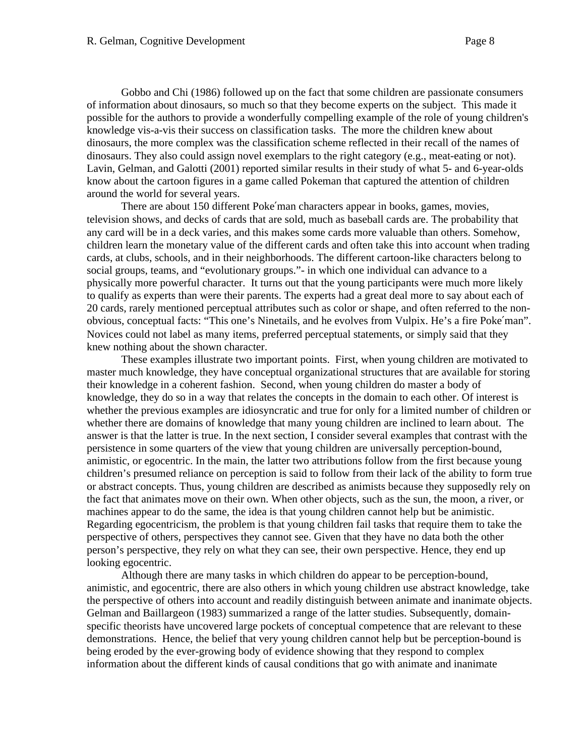Gobbo and Chi (1986) followed up on the fact that some children are passionate consumers of information about dinosaurs, so much so that they become experts on the subject. This made it possible for the authors to provide a wonderfully compelling example of the role of young children's knowledge vis-a-vis their success on classification tasks. The more the children knew about dinosaurs, the more complex was the classification scheme reflected in their recall of the names of dinosaurs. They also could assign novel exemplars to the right category (e.g., meat-eating or not). Lavin, Gelman, and Galotti (2001) reported similar results in their study of what 5- and 6-year-olds know about the cartoon figures in a game called Pokeman that captured the attention of children around the world for several years.

There are about 150 different Poke man characters appear in books, games, movies, television shows, and decks of cards that are sold, much as baseball cards are. The probability that any card will be in a deck varies, and this makes some cards more valuable than others. Somehow, children learn the monetary value of the different cards and often take this into account when trading cards, at clubs, schools, and in their neighborhoods. The different cartoon-like characters belong to social groups, teams, and "evolutionary groups."- in which one individual can advance to a physically more powerful character. It turns out that the young participants were much more likely to qualify as experts than were their parents. The experts had a great deal more to say about each of 20 cards, rarely mentioned perceptual attributes such as color or shape, and often referred to the nonobvious, conceptual facts: "This one's Ninetails, and he evolves from Vulpix. He's a fire Poke man". Novices could not label as many items, preferred perceptual statements, or simply said that they knew nothing about the shown character.

These examples illustrate two important points. First, when young children are motivated to master much knowledge, they have conceptual organizational structures that are available for storing their knowledge in a coherent fashion. Second, when young children do master a body of knowledge, they do so in a way that relates the concepts in the domain to each other. Of interest is whether the previous examples are idiosyncratic and true for only for a limited number of children or whether there are domains of knowledge that many young children are inclined to learn about. The answer is that the latter is true. In the next section, I consider several examples that contrast with the persistence in some quarters of the view that young children are universally perception-bound, animistic, or egocentric. In the main, the latter two attributions follow from the first because young children's presumed reliance on perception is said to follow from their lack of the ability to form true or abstract concepts. Thus, young children are described as animists because they supposedly rely on the fact that animates move on their own. When other objects, such as the sun, the moon, a river, or machines appear to do the same, the idea is that young children cannot help but be animistic. Regarding egocentricism, the problem is that young children fail tasks that require them to take the perspective of others, perspectives they cannot see. Given that they have no data both the other person's perspective, they rely on what they can see, their own perspective. Hence, they end up looking egocentric.

Although there are many tasks in which children do appear to be perception-bound, animistic, and egocentric, there are also others in which young children use abstract knowledge, take the perspective of others into account and readily distinguish between animate and inanimate objects. Gelman and Baillargeon (1983) summarized a range of the latter studies. Subsequently, domainspecific theorists have uncovered large pockets of conceptual competence that are relevant to these demonstrations. Hence, the belief that very young children cannot help but be perception-bound is being eroded by the ever-growing body of evidence showing that they respond to complex information about the different kinds of causal conditions that go with animate and inanimate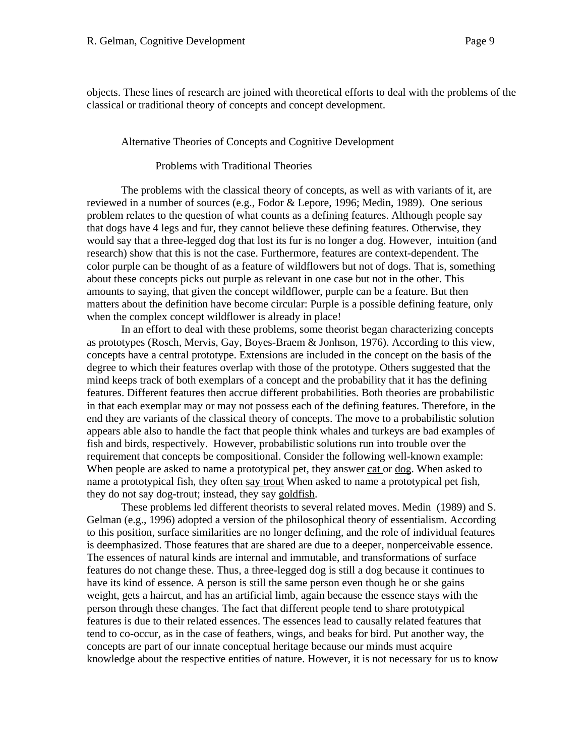objects. These lines of research are joined with theoretical efforts to deal with the problems of the classical or traditional theory of concepts and concept development.

#### Alternative Theories of Concepts and Cognitive Development

#### Problems with Traditional Theories

The problems with the classical theory of concepts, as well as with variants of it, are reviewed in a number of sources (e.g., Fodor & Lepore, 1996; Medin, 1989). One serious problem relates to the question of what counts as a defining features. Although people say that dogs have 4 legs and fur, they cannot believe these defining features. Otherwise, they would say that a three-legged dog that lost its fur is no longer a dog. However, intuition (and research) show that this is not the case. Furthermore, features are context-dependent. The color purple can be thought of as a feature of wildflowers but not of dogs. That is, something about these concepts picks out purple as relevant in one case but not in the other. This amounts to saying, that given the concept wildflower, purple can be a feature. But then matters about the definition have become circular: Purple is a possible defining feature, only when the complex concept wildflower is already in place!

In an effort to deal with these problems, some theorist began characterizing concepts as prototypes (Rosch, Mervis, Gay, Boyes-Braem & Jonhson, 1976). According to this view, concepts have a central prototype. Extensions are included in the concept on the basis of the degree to which their features overlap with those of the prototype. Others suggested that the mind keeps track of both exemplars of a concept and the probability that it has the defining features. Different features then accrue different probabilities. Both theories are probabilistic in that each exemplar may or may not possess each of the defining features. Therefore, in the end they are variants of the classical theory of concepts. The move to a probabilistic solution appears able also to handle the fact that people think whales and turkeys are bad examples of fish and birds, respectively. However, probabilistic solutions run into trouble over the requirement that concepts be compositional. Consider the following well-known example: When people are asked to name a prototypical pet, they answer cat or dog. When asked to name a prototypical fish, they often say trout When asked to name a prototypical pet fish, they do not say dog-trout; instead, they say goldfish.

These problems led different theorists to several related moves. Medin (1989) and S. Gelman (e.g., 1996) adopted a version of the philosophical theory of essentialism. According to this position, surface similarities are no longer defining, and the role of individual features is deemphasized. Those features that are shared are due to a deeper, nonperceivable essence. The essences of natural kinds are internal and immutable, and transformations of surface features do not change these. Thus, a three-legged dog is still a dog because it continues to have its kind of essence. A person is still the same person even though he or she gains weight, gets a haircut, and has an artificial limb, again because the essence stays with the person through these changes. The fact that different people tend to share prototypical features is due to their related essences. The essences lead to causally related features that tend to co-occur, as in the case of feathers, wings, and beaks for bird. Put another way, the concepts are part of our innate conceptual heritage because our minds must acquire knowledge about the respective entities of nature. However, it is not necessary for us to know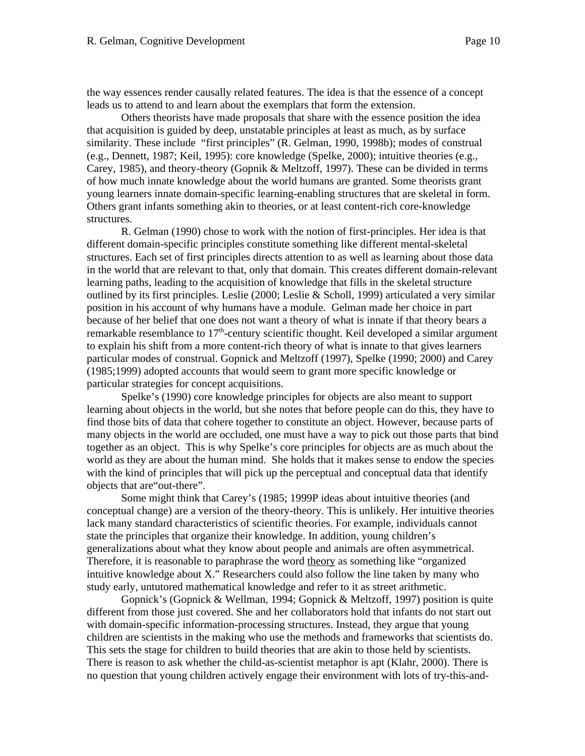the way essences render causally related features. The idea is that the essence of a concept leads us to attend to and learn about the exemplars that form the extension.

Others theorists have made proposals that share with the essence position the idea that acquisition is guided by deep, unstatable principles at least as much, as by surface similarity. These include "first principles" (R. Gelman, 1990, 1998b); modes of construal (e.g., Dennett, 1987; Keil, 1995): core knowledge (Spelke, 2000); intuitive theories (e.g., Carey, 1985), and theory-theory (Gopnik & Meltzoff, 1997). These can be divided in terms of how much innate knowledge about the world humans are granted. Some theorists grant young learners innate domain-specific learning-enabling structures that are skeletal in form. Others grant infants something akin to theories, or at least content-rich core-knowledge structures.

R. Gelman (1990) chose to work with the notion of first-principles. Her idea is that different domain-specific principles constitute something like different mental-skeletal structures. Each set of first principles directs attention to as well as learning about those data in the world that are relevant to that, only that domain. This creates different domain-relevant learning paths, leading to the acquisition of knowledge that fills in the skeletal structure outlined by its first principles. Leslie (2000; Leslie & Scholl, 1999) articulated a very similar position in his account of why humans have a module. Gelman made her choice in part because of her belief that one does not want a theory of what is innate if that theory bears a remarkable resemblance to  $17<sup>th</sup>$ -century scientific thought. Keil developed a similar argument to explain his shift from a more content-rich theory of what is innate to that gives learners particular modes of construal. Gopnick and Meltzoff (1997), Spelke (1990; 2000) and Carey (1985;1999) adopted accounts that would seem to grant more specific knowledge or particular strategies for concept acquisitions.

Spelke's (1990) core knowledge principles for objects are also meant to support learning about objects in the world, but she notes that before people can do this, they have to find those bits of data that cohere together to constitute an object. However, because parts of many objects in the world are occluded, one must have a way to pick out those parts that bind together as an object. This is why Spelke's core principles for objects are as much about the world as they are about the human mind. She holds that it makes sense to endow the species with the kind of principles that will pick up the perceptual and conceptual data that identify objects that are"out-there".

Some might think that Carey's (1985; 1999P ideas about intuitive theories (and conceptual change) are a version of the theory-theory. This is unlikely. Her intuitive theories lack many standard characteristics of scientific theories. For example, individuals cannot state the principles that organize their knowledge. In addition, young children's generalizations about what they know about people and animals are often asymmetrical. Therefore, it is reasonable to paraphrase the word theory as something like "organized intuitive knowledge about X." Researchers could also follow the line taken by many who study early, untutored mathematical knowledge and refer to it as street arithmetic.

Gopnick's (Gopnick & Wellman, 1994; Gopnick & Meltzoff, 1997) position is quite different from those just covered. She and her collaborators hold that infants do not start out with domain-specific information-processing structures. Instead, they argue that young children are scientists in the making who use the methods and frameworks that scientists do. This sets the stage for children to build theories that are akin to those held by scientists. There is reason to ask whether the child-as-scientist metaphor is apt (Klahr, 2000). There is no question that young children actively engage their environment with lots of try-this-and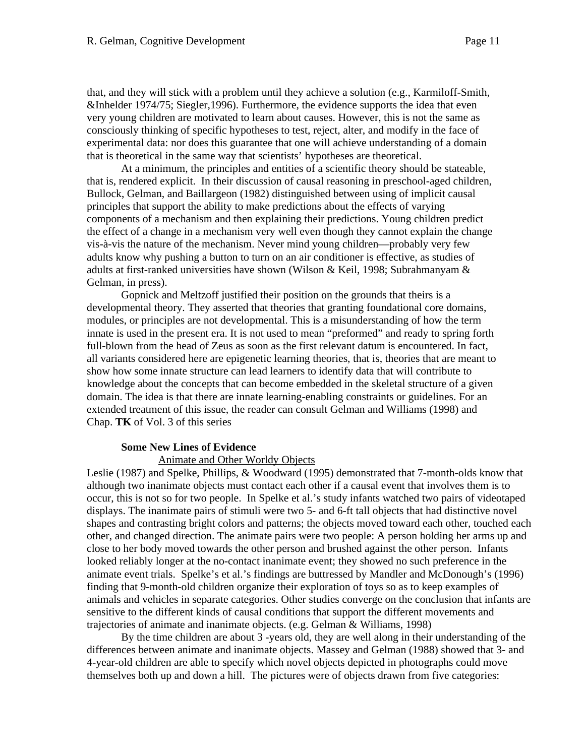that, and they will stick with a problem until they achieve a solution (e.g., Karmiloff-Smith, &Inhelder 1974/75; Siegler,1996). Furthermore, the evidence supports the idea that even very young children are motivated to learn about causes. However, this is not the same as consciously thinking of specific hypotheses to test, reject, alter, and modify in the face of experimental data: nor does this guarantee that one will achieve understanding of a domain that is theoretical in the same way that scientists' hypotheses are theoretical.

At a minimum, the principles and entities of a scientific theory should be stateable, that is, rendered explicit. In their discussion of causal reasoning in preschool-aged children, Bullock, Gelman, and Baillargeon (1982) distinguished between using of implicit causal principles that support the ability to make predictions about the effects of varying components of a mechanism and then explaining their predictions. Young children predict the effect of a change in a mechanism very well even though they cannot explain the change vis-à-vis the nature of the mechanism. Never mind young children—probably very few adults know why pushing a button to turn on an air conditioner is effective, as studies of adults at first-ranked universities have shown (Wilson & Keil, 1998; Subrahmanyam & Gelman, in press).

Gopnick and Meltzoff justified their position on the grounds that theirs is a developmental theory. They asserted that theories that granting foundational core domains, modules, or principles are not developmental. This is a misunderstanding of how the term innate is used in the present era. It is not used to mean "preformed" and ready to spring forth full-blown from the head of Zeus as soon as the first relevant datum is encountered. In fact, all variants considered here are epigenetic learning theories, that is, theories that are meant to show how some innate structure can lead learners to identify data that will contribute to knowledge about the concepts that can become embedded in the skeletal structure of a given domain. The idea is that there are innate learning-enabling constraints or guidelines. For an extended treatment of this issue, the reader can consult Gelman and Williams (1998) and Chap. **TK** of Vol. 3 of this series

#### **Some New Lines of Evidence**

#### Animate and Other Worldy Objects

Leslie (1987) and Spelke, Phillips, & Woodward (1995) demonstrated that 7-month-olds know that although two inanimate objects must contact each other if a causal event that involves them is to occur, this is not so for two people. In Spelke et al.'s study infants watched two pairs of videotaped displays. The inanimate pairs of stimuli were two 5- and 6-ft tall objects that had distinctive novel shapes and contrasting bright colors and patterns; the objects moved toward each other, touched each other, and changed direction. The animate pairs were two people: A person holding her arms up and close to her body moved towards the other person and brushed against the other person. Infants looked reliably longer at the no-contact inanimate event; they showed no such preference in the animate event trials. Spelke's et al.'s findings are buttressed by Mandler and McDonough's (1996) finding that 9-month-old children organize their exploration of toys so as to keep examples of animals and vehicles in separate categories. Other studies converge on the conclusion that infants are sensitive to the different kinds of causal conditions that support the different movements and trajectories of animate and inanimate objects. (e.g. Gelman & Williams, 1998)

By the time children are about 3 -years old, they are well along in their understanding of the differences between animate and inanimate objects. Massey and Gelman (1988) showed that 3- and 4-year-old children are able to specify which novel objects depicted in photographs could move themselves both up and down a hill. The pictures were of objects drawn from five categories: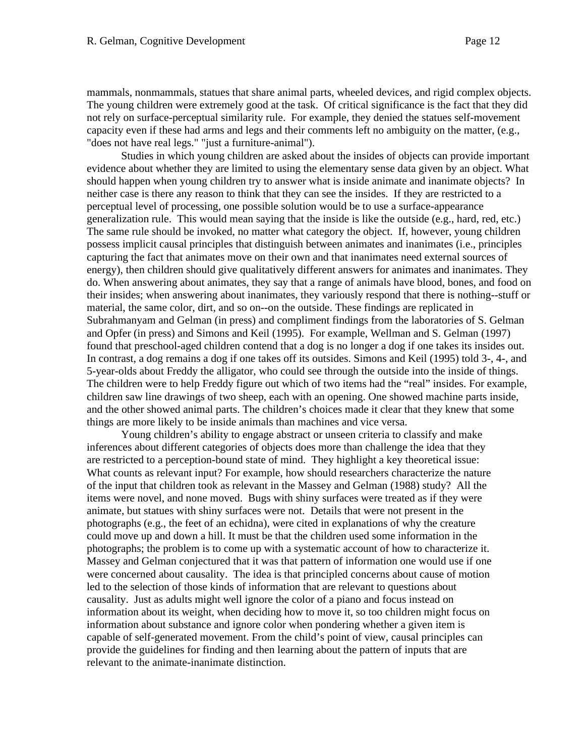mammals, nonmammals, statues that share animal parts, wheeled devices, and rigid complex objects. The young children were extremely good at the task. Of critical significance is the fact that they did not rely on surface-perceptual similarity rule. For example, they denied the statues self-movement capacity even if these had arms and legs and their comments left no ambiguity on the matter, (e.g., "does not have real legs." "just a furniture-animal").

Studies in which young children are asked about the insides of objects can provide important evidence about whether they are limited to using the elementary sense data given by an object. What should happen when young children try to answer what is inside animate and inanimate objects? In neither case is there any reason to think that they can see the insides. If they are restricted to a perceptual level of processing, one possible solution would be to use a surface-appearance generalization rule. This would mean saying that the inside is like the outside (e.g., hard, red, etc.) The same rule should be invoked, no matter what category the object. If, however, young children possess implicit causal principles that distinguish between animates and inanimates (i.e., principles capturing the fact that animates move on their own and that inanimates need external sources of energy), then children should give qualitatively different answers for animates and inanimates. They do. When answering about animates, they say that a range of animals have blood, bones, and food on their insides; when answering about inanimates, they variously respond that there is nothing--stuff or material, the same color, dirt, and so on--on the outside. These findings are replicated in Subrahmanyam and Gelman (in press) and compliment findings from the laboratories of S. Gelman and Opfer (in press) and Simons and Keil (1995). For example, Wellman and S. Gelman (1997) found that preschool-aged children contend that a dog is no longer a dog if one takes its insides out. In contrast, a dog remains a dog if one takes off its outsides. Simons and Keil (1995) told 3-, 4-, and 5-year-olds about Freddy the alligator, who could see through the outside into the inside of things. The children were to help Freddy figure out which of two items had the "real" insides. For example, children saw line drawings of two sheep, each with an opening. One showed machine parts inside, and the other showed animal parts. The children's choices made it clear that they knew that some things are more likely to be inside animals than machines and vice versa.

Young children's ability to engage abstract or unseen criteria to classify and make inferences about different categories of objects does more than challenge the idea that they are restricted to a perception-bound state of mind. They highlight a key theoretical issue: What counts as relevant input? For example, how should researchers characterize the nature of the input that children took as relevant in the Massey and Gelman (1988) study? All the items were novel, and none moved. Bugs with shiny surfaces were treated as if they were animate, but statues with shiny surfaces were not. Details that were not present in the photographs (e.g., the feet of an echidna), were cited in explanations of why the creature could move up and down a hill. It must be that the children used some information in the photographs; the problem is to come up with a systematic account of how to characterize it. Massey and Gelman conjectured that it was that pattern of information one would use if one were concerned about causality. The idea is that principled concerns about cause of motion led to the selection of those kinds of information that are relevant to questions about causality. Just as adults might well ignore the color of a piano and focus instead on information about its weight, when deciding how to move it, so too children might focus on information about substance and ignore color when pondering whether a given item is capable of self-generated movement. From the child's point of view, causal principles can provide the guidelines for finding and then learning about the pattern of inputs that are relevant to the animate-inanimate distinction.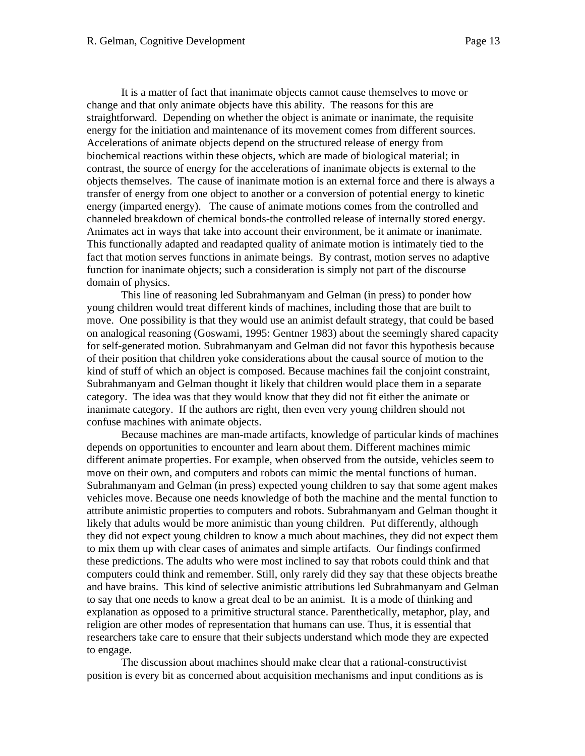It is a matter of fact that inanimate objects cannot cause themselves to move or change and that only animate objects have this ability. The reasons for this are straightforward. Depending on whether the object is animate or inanimate, the requisite energy for the initiation and maintenance of its movement comes from different sources. Accelerations of animate objects depend on the structured release of energy from biochemical reactions within these objects, which are made of biological material; in contrast, the source of energy for the accelerations of inanimate objects is external to the objects themselves. The cause of inanimate motion is an external force and there is always a transfer of energy from one object to another or a conversion of potential energy to kinetic energy (imparted energy). The cause of animate motions comes from the controlled and channeled breakdown of chemical bonds-the controlled release of internally stored energy. Animates act in ways that take into account their environment, be it animate or inanimate. This functionally adapted and readapted quality of animate motion is intimately tied to the fact that motion serves functions in animate beings. By contrast, motion serves no adaptive function for inanimate objects; such a consideration is simply not part of the discourse domain of physics.

This line of reasoning led Subrahmanyam and Gelman (in press) to ponder how young children would treat different kinds of machines, including those that are built to move. One possibility is that they would use an animist default strategy, that could be based on analogical reasoning (Goswami, 1995: Gentner 1983) about the seemingly shared capacity for self-generated motion. Subrahmanyam and Gelman did not favor this hypothesis because of their position that children yoke considerations about the causal source of motion to the kind of stuff of which an object is composed. Because machines fail the conjoint constraint, Subrahmanyam and Gelman thought it likely that children would place them in a separate category. The idea was that they would know that they did not fit either the animate or inanimate category. If the authors are right, then even very young children should not confuse machines with animate objects.

Because machines are man-made artifacts, knowledge of particular kinds of machines depends on opportunities to encounter and learn about them. Different machines mimic different animate properties. For example, when observed from the outside, vehicles seem to move on their own, and computers and robots can mimic the mental functions of human. Subrahmanyam and Gelman (in press) expected young children to say that some agent makes vehicles move. Because one needs knowledge of both the machine and the mental function to attribute animistic properties to computers and robots. Subrahmanyam and Gelman thought it likely that adults would be more animistic than young children. Put differently, although they did not expect young children to know a much about machines, they did not expect them to mix them up with clear cases of animates and simple artifacts. Our findings confirmed these predictions. The adults who were most inclined to say that robots could think and that computers could think and remember. Still, only rarely did they say that these objects breathe and have brains. This kind of selective animistic attributions led Subrahmanyam and Gelman to say that one needs to know a great deal to be an animist. It is a mode of thinking and explanation as opposed to a primitive structural stance. Parenthetically, metaphor, play, and religion are other modes of representation that humans can use. Thus, it is essential that researchers take care to ensure that their subjects understand which mode they are expected to engage.

The discussion about machines should make clear that a rational-constructivist position is every bit as concerned about acquisition mechanisms and input conditions as is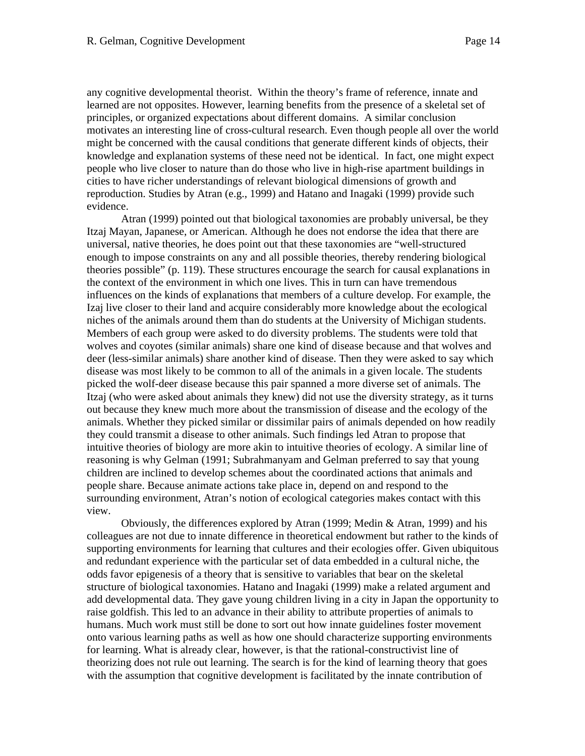any cognitive developmental theorist. Within the theory's frame of reference, innate and learned are not opposites. However, learning benefits from the presence of a skeletal set of principles, or organized expectations about different domains. A similar conclusion motivates an interesting line of cross-cultural research. Even though people all over the world might be concerned with the causal conditions that generate different kinds of objects, their knowledge and explanation systems of these need not be identical. In fact, one might expect people who live closer to nature than do those who live in high-rise apartment buildings in cities to have richer understandings of relevant biological dimensions of growth and reproduction. Studies by Atran (e.g., 1999) and Hatano and Inagaki (1999) provide such evidence.

Atran (1999) pointed out that biological taxonomies are probably universal, be they Itzaj Mayan, Japanese, or American. Although he does not endorse the idea that there are universal, native theories, he does point out that these taxonomies are "well-structured enough to impose constraints on any and all possible theories, thereby rendering biological theories possible" (p. 119). These structures encourage the search for causal explanations in the context of the environment in which one lives. This in turn can have tremendous influences on the kinds of explanations that members of a culture develop. For example, the Izaj live closer to their land and acquire considerably more knowledge about the ecological niches of the animals around them than do students at the University of Michigan students. Members of each group were asked to do diversity problems. The students were told that wolves and coyotes (similar animals) share one kind of disease because and that wolves and deer (less-similar animals) share another kind of disease. Then they were asked to say which disease was most likely to be common to all of the animals in a given locale. The students picked the wolf-deer disease because this pair spanned a more diverse set of animals. The Itzaj (who were asked about animals they knew) did not use the diversity strategy, as it turns out because they knew much more about the transmission of disease and the ecology of the animals. Whether they picked similar or dissimilar pairs of animals depended on how readily they could transmit a disease to other animals. Such findings led Atran to propose that intuitive theories of biology are more akin to intuitive theories of ecology. A similar line of reasoning is why Gelman (1991; Subrahmanyam and Gelman preferred to say that young children are inclined to develop schemes about the coordinated actions that animals and people share. Because animate actions take place in, depend on and respond to the surrounding environment, Atran's notion of ecological categories makes contact with this view.

Obviously, the differences explored by Atran (1999; Medin & Atran, 1999) and his colleagues are not due to innate difference in theoretical endowment but rather to the kinds of supporting environments for learning that cultures and their ecologies offer. Given ubiquitous and redundant experience with the particular set of data embedded in a cultural niche, the odds favor epigenesis of a theory that is sensitive to variables that bear on the skeletal structure of biological taxonomies. Hatano and Inagaki (1999) make a related argument and add developmental data. They gave young children living in a city in Japan the opportunity to raise goldfish. This led to an advance in their ability to attribute properties of animals to humans. Much work must still be done to sort out how innate guidelines foster movement onto various learning paths as well as how one should characterize supporting environments for learning. What is already clear, however, is that the rational-constructivist line of theorizing does not rule out learning. The search is for the kind of learning theory that goes with the assumption that cognitive development is facilitated by the innate contribution of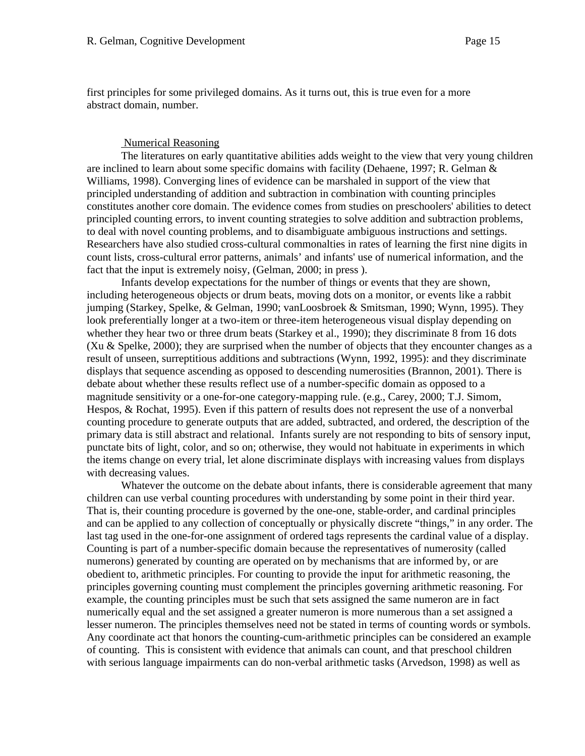first principles for some privileged domains. As it turns out, this is true even for a more abstract domain, number.

#### Numerical Reasoning

The literatures on early quantitative abilities adds weight to the view that very young children are inclined to learn about some specific domains with facility (Dehaene, 1997; R. Gelman & Williams, 1998). Converging lines of evidence can be marshaled in support of the view that principled understanding of addition and subtraction in combination with counting principles constitutes another core domain. The evidence comes from studies on preschoolers' abilities to detect principled counting errors, to invent counting strategies to solve addition and subtraction problems, to deal with novel counting problems, and to disambiguate ambiguous instructions and settings. Researchers have also studied cross-cultural commonalties in rates of learning the first nine digits in count lists, cross-cultural error patterns, animals' and infants' use of numerical information, and the fact that the input is extremely noisy, (Gelman, 2000; in press ).

Infants develop expectations for the number of things or events that they are shown, including heterogeneous objects or drum beats, moving dots on a monitor, or events like a rabbit jumping (Starkey, Spelke, & Gelman, 1990; vanLoosbroek & Smitsman, 1990; Wynn, 1995). They look preferentially longer at a two-item or three-item heterogeneous visual display depending on whether they hear two or three drum beats (Starkey et al., 1990); they discriminate 8 from 16 dots (Xu & Spelke, 2000); they are surprised when the number of objects that they encounter changes as a result of unseen, surreptitious additions and subtractions (Wynn, 1992, 1995): and they discriminate displays that sequence ascending as opposed to descending numerosities (Brannon, 2001). There is debate about whether these results reflect use of a number-specific domain as opposed to a magnitude sensitivity or a one-for-one category-mapping rule. (e.g., Carey, 2000; T.J. Simom, Hespos, & Rochat, 1995). Even if this pattern of results does not represent the use of a nonverbal counting procedure to generate outputs that are added, subtracted, and ordered, the description of the primary data is still abstract and relational. Infants surely are not responding to bits of sensory input, punctate bits of light, color, and so on; otherwise, they would not habituate in experiments in which the items change on every trial, let alone discriminate displays with increasing values from displays with decreasing values.

Whatever the outcome on the debate about infants, there is considerable agreement that many children can use verbal counting procedures with understanding by some point in their third year. That is, their counting procedure is governed by the one-one, stable-order, and cardinal principles and can be applied to any collection of conceptually or physically discrete "things," in any order. The last tag used in the one-for-one assignment of ordered tags represents the cardinal value of a display. Counting is part of a number-specific domain because the representatives of numerosity (called numerons) generated by counting are operated on by mechanisms that are informed by, or are obedient to, arithmetic principles. For counting to provide the input for arithmetic reasoning, the principles governing counting must complement the principles governing arithmetic reasoning. For example, the counting principles must be such that sets assigned the same numeron are in fact numerically equal and the set assigned a greater numeron is more numerous than a set assigned a lesser numeron. The principles themselves need not be stated in terms of counting words or symbols. Any coordinate act that honors the counting-cum-arithmetic principles can be considered an example of counting. This is consistent with evidence that animals can count, and that preschool children with serious language impairments can do non-verbal arithmetic tasks (Arvedson, 1998) as well as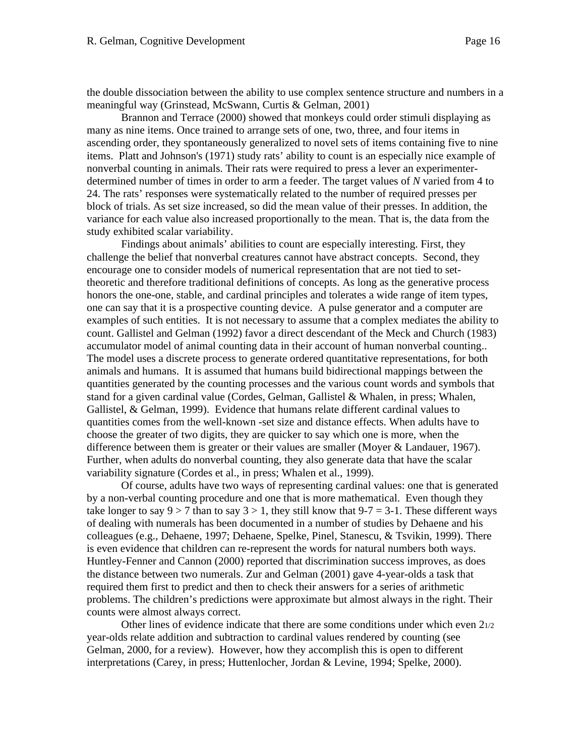the double dissociation between the ability to use complex sentence structure and numbers in a meaningful way (Grinstead, McSwann, Curtis & Gelman, 2001)

Brannon and Terrace (2000) showed that monkeys could order stimuli displaying as many as nine items. Once trained to arrange sets of one, two, three, and four items in ascending order, they spontaneously generalized to novel sets of items containing five to nine items. Platt and Johnson's (1971) study rats' ability to count is an especially nice example of nonverbal counting in animals. Their rats were required to press a lever an experimenterdetermined number of times in order to arm a feeder. The target values of *N* varied from 4 to 24. The rats' responses were systematically related to the number of required presses per block of trials. As set size increased, so did the mean value of their presses. In addition, the variance for each value also increased proportionally to the mean. That is, the data from the study exhibited scalar variability.

Findings about animals' abilities to count are especially interesting. First, they challenge the belief that nonverbal creatures cannot have abstract concepts. Second, they encourage one to consider models of numerical representation that are not tied to settheoretic and therefore traditional definitions of concepts. As long as the generative process honors the one-one, stable, and cardinal principles and tolerates a wide range of item types, one can say that it is a prospective counting device. A pulse generator and a computer are examples of such entities. It is not necessary to assume that a complex mediates the ability to count. Gallistel and Gelman (1992) favor a direct descendant of the Meck and Church (1983) accumulator model of animal counting data in their account of human nonverbal counting.. The model uses a discrete process to generate ordered quantitative representations, for both animals and humans. It is assumed that humans build bidirectional mappings between the quantities generated by the counting processes and the various count words and symbols that stand for a given cardinal value (Cordes, Gelman, Gallistel & Whalen, in press; Whalen, Gallistel, & Gelman, 1999). Evidence that humans relate different cardinal values to quantities comes from the well-known -set size and distance effects. When adults have to choose the greater of two digits, they are quicker to say which one is more, when the difference between them is greater or their values are smaller (Moyer & Landauer, 1967). Further, when adults do nonverbal counting, they also generate data that have the scalar variability signature (Cordes et al., in press; Whalen et al., 1999).

Of course, adults have two ways of representing cardinal values: one that is generated by a non-verbal counting procedure and one that is more mathematical. Even though they take longer to say  $9 > 7$  than to say  $3 > 1$ , they still know that  $9 - 7 = 3 - 1$ . These different ways of dealing with numerals has been documented in a number of studies by Dehaene and his colleagues (e.g., Dehaene, 1997; Dehaene, Spelke, Pinel, Stanescu, & Tsvikin, 1999). There is even evidence that children can re-represent the words for natural numbers both ways. Huntley-Fenner and Cannon (2000) reported that discrimination success improves, as does the distance between two numerals. Zur and Gelman (2001) gave 4-year-olds a task that required them first to predict and then to check their answers for a series of arithmetic problems. The children's predictions were approximate but almost always in the right. Their counts were almost always correct.

Other lines of evidence indicate that there are some conditions under which even 21/2 year-olds relate addition and subtraction to cardinal values rendered by counting (see Gelman, 2000, for a review). However, how they accomplish this is open to different interpretations (Carey, in press; Huttenlocher, Jordan & Levine, 1994; Spelke, 2000).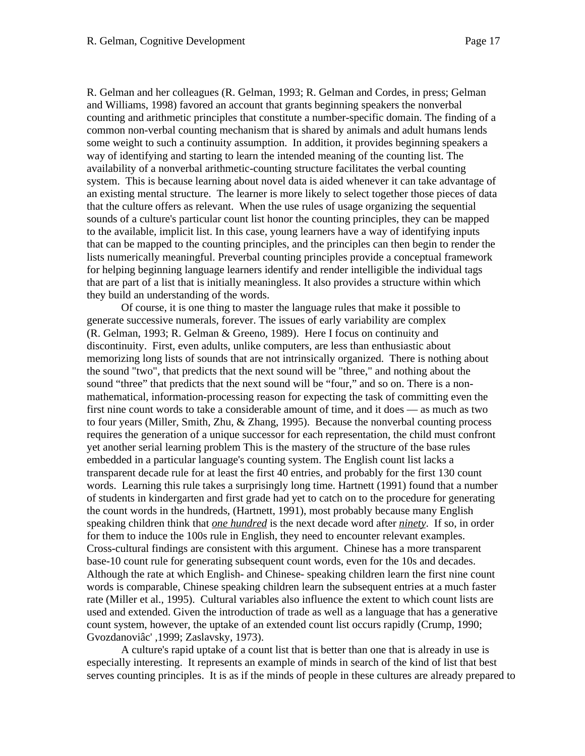R. Gelman and her colleagues (R. Gelman, 1993; R. Gelman and Cordes, in press; Gelman and Williams, 1998) favored an account that grants beginning speakers the nonverbal counting and arithmetic principles that constitute a number-specific domain. The finding of a common non-verbal counting mechanism that is shared by animals and adult humans lends some weight to such a continuity assumption. In addition, it provides beginning speakers a way of identifying and starting to learn the intended meaning of the counting list. The availability of a nonverbal arithmetic-counting structure facilitates the verbal counting system. This is because learning about novel data is aided whenever it can take advantage of an existing mental structure. The learner is more likely to select together those pieces of data that the culture offers as relevant. When the use rules of usage organizing the sequential sounds of a culture's particular count list honor the counting principles, they can be mapped to the available, implicit list. In this case, young learners have a way of identifying inputs that can be mapped to the counting principles, and the principles can then begin to render the lists numerically meaningful. Preverbal counting principles provide a conceptual framework for helping beginning language learners identify and render intelligible the individual tags that are part of a list that is initially meaningless. It also provides a structure within which they build an understanding of the words.

Of course, it is one thing to master the language rules that make it possible to generate successive numerals, forever. The issues of early variability are complex (R. Gelman, 1993; R. Gelman & Greeno, 1989). Here I focus on continuity and discontinuity. First, even adults, unlike computers, are less than enthusiastic about memorizing long lists of sounds that are not intrinsically organized. There is nothing about the sound "two", that predicts that the next sound will be "three," and nothing about the sound "three" that predicts that the next sound will be "four," and so on. There is a nonmathematical, information-processing reason for expecting the task of committing even the first nine count words to take a considerable amount of time, and it does — as much as two to four years (Miller, Smith, Zhu, & Zhang, 1995). Because the nonverbal counting process requires the generation of a unique successor for each representation, the child must confront yet another serial learning problem This is the mastery of the structure of the base rules embedded in a particular language's counting system. The English count list lacks a transparent decade rule for at least the first 40 entries, and probably for the first 130 count words. Learning this rule takes a surprisingly long time. Hartnett (1991) found that a number of students in kindergarten and first grade had yet to catch on to the procedure for generating the count words in the hundreds, (Hartnett, 1991), most probably because many English speaking children think that *one hundred* is the next decade word after *ninety*. If so, in order for them to induce the 100s rule in English, they need to encounter relevant examples. Cross-cultural findings are consistent with this argument. Chinese has a more transparent base-10 count rule for generating subsequent count words, even for the 10s and decades. Although the rate at which English- and Chinese- speaking children learn the first nine count words is comparable, Chinese speaking children learn the subsequent entries at a much faster rate (Miller et al., 1995). Cultural variables also influence the extent to which count lists are used and extended. Given the introduction of trade as well as a language that has a generative count system, however, the uptake of an extended count list occurs rapidly (Crump, 1990; Gvozdanoviâc' ,1999; Zaslavsky, 1973).

A culture's rapid uptake of a count list that is better than one that is already in use is especially interesting. It represents an example of minds in search of the kind of list that best serves counting principles. It is as if the minds of people in these cultures are already prepared to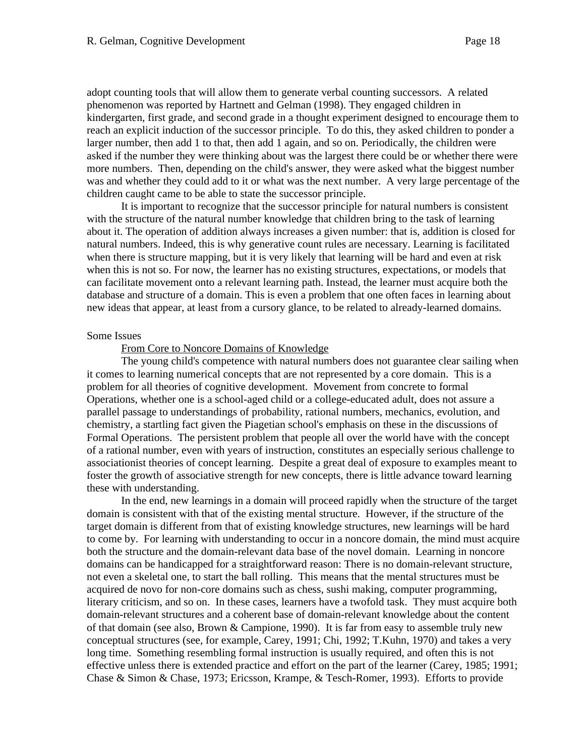adopt counting tools that will allow them to generate verbal counting successors. A related phenomenon was reported by Hartnett and Gelman (1998). They engaged children in kindergarten, first grade, and second grade in a thought experiment designed to encourage them to reach an explicit induction of the successor principle. To do this, they asked children to ponder a larger number, then add 1 to that, then add 1 again, and so on. Periodically, the children were asked if the number they were thinking about was the largest there could be or whether there were more numbers. Then, depending on the child's answer, they were asked what the biggest number was and whether they could add to it or what was the next number. A very large percentage of the children caught came to be able to state the successor principle.

It is important to recognize that the successor principle for natural numbers is consistent with the structure of the natural number knowledge that children bring to the task of learning about it. The operation of addition always increases a given number: that is, addition is closed for natural numbers. Indeed, this is why generative count rules are necessary. Learning is facilitated when there is structure mapping, but it is very likely that learning will be hard and even at risk when this is not so. For now, the learner has no existing structures, expectations, or models that can facilitate movement onto a relevant learning path. Instead, the learner must acquire both the database and structure of a domain. This is even a problem that one often faces in learning about new ideas that appear, at least from a cursory glance, to be related to already-learned domains.

#### Some Issues

From Core to Noncore Domains of Knowledge

The young child's competence with natural numbers does not guarantee clear sailing when it comes to learning numerical concepts that are not represented by a core domain. This is a problem for all theories of cognitive development. Movement from concrete to formal Operations, whether one is a school-aged child or a college-educated adult, does not assure a parallel passage to understandings of probability, rational numbers, mechanics, evolution, and chemistry, a startling fact given the Piagetian school's emphasis on these in the discussions of Formal Operations. The persistent problem that people all over the world have with the concept of a rational number, even with years of instruction, constitutes an especially serious challenge to associationist theories of concept learning. Despite a great deal of exposure to examples meant to foster the growth of associative strength for new concepts, there is little advance toward learning these with understanding.

In the end, new learnings in a domain will proceed rapidly when the structure of the target domain is consistent with that of the existing mental structure. However, if the structure of the target domain is different from that of existing knowledge structures, new learnings will be hard to come by. For learning with understanding to occur in a noncore domain, the mind must acquire both the structure and the domain-relevant data base of the novel domain. Learning in noncore domains can be handicapped for a straightforward reason: There is no domain-relevant structure, not even a skeletal one, to start the ball rolling. This means that the mental structures must be acquired de novo for non-core domains such as chess, sushi making, computer programming, literary criticism, and so on. In these cases, learners have a twofold task. They must acquire both domain-relevant structures and a coherent base of domain-relevant knowledge about the content of that domain (see also, Brown & Campione, 1990). It is far from easy to assemble truly new conceptual structures (see, for example, Carey, 1991; Chi, 1992; T.Kuhn, 1970) and takes a very long time. Something resembling formal instruction is usually required, and often this is not effective unless there is extended practice and effort on the part of the learner (Carey, 1985; 1991; Chase & Simon & Chase, 1973; Ericsson, Krampe, & Tesch-Romer, 1993). Efforts to provide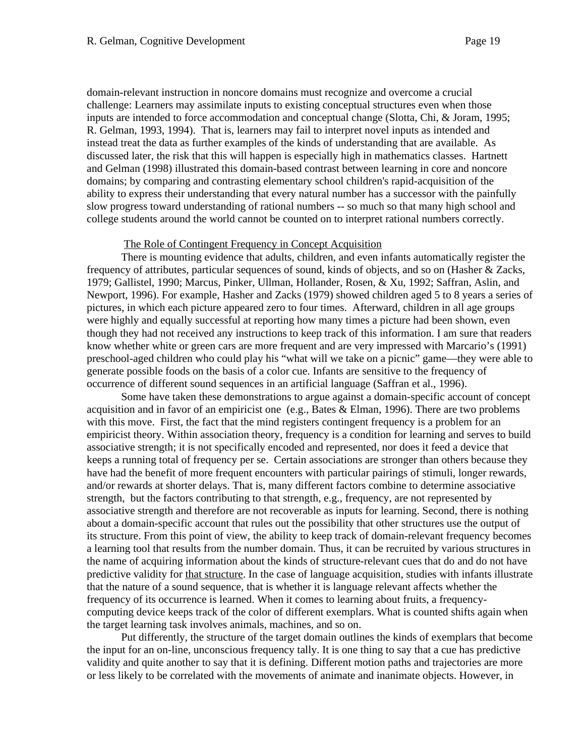domain-relevant instruction in noncore domains must recognize and overcome a crucial challenge: Learners may assimilate inputs to existing conceptual structures even when those inputs are intended to force accommodation and conceptual change (Slotta, Chi, & Joram, 1995; R. Gelman, 1993, 1994). That is, learners may fail to interpret novel inputs as intended and instead treat the data as further examples of the kinds of understanding that are available. As discussed later, the risk that this will happen is especially high in mathematics classes. Hartnett and Gelman (1998) illustrated this domain-based contrast between learning in core and noncore domains; by comparing and contrasting elementary school children's rapid-acquisition of the ability to express their understanding that every natural number has a successor with the painfully slow progress toward understanding of rational numbers -- so much so that many high school and college students around the world cannot be counted on to interpret rational numbers correctly.

#### The Role of Contingent Frequency in Concept Acquisition

There is mounting evidence that adults, children, and even infants automatically register the frequency of attributes, particular sequences of sound, kinds of objects, and so on (Hasher & Zacks, 1979; Gallistel, 1990; Marcus, Pinker, Ullman, Hollander, Rosen, & Xu, 1992; Saffran, Aslin, and Newport, 1996). For example, Hasher and Zacks (1979) showed children aged 5 to 8 years a series of pictures, in which each picture appeared zero to four times. Afterward, children in all age groups were highly and equally successful at reporting how many times a picture had been shown, even though they had not received any instructions to keep track of this information. I am sure that readers know whether white or green cars are more frequent and are very impressed with Marcario's (1991) preschool-aged children who could play his "what will we take on a picnic" game—they were able to generate possible foods on the basis of a color cue. Infants are sensitive to the frequency of occurrence of different sound sequences in an artificial language (Saffran et al., 1996).

Some have taken these demonstrations to argue against a domain-specific account of concept acquisition and in favor of an empiricist one (e.g., Bates & Elman, 1996). There are two problems with this move. First, the fact that the mind registers contingent frequency is a problem for an empiricist theory. Within association theory, frequency is a condition for learning and serves to build associative strength; it is not specifically encoded and represented, nor does it feed a device that keeps a running total of frequency per se. Certain associations are stronger than others because they have had the benefit of more frequent encounters with particular pairings of stimuli, longer rewards, and/or rewards at shorter delays. That is, many different factors combine to determine associative strength, but the factors contributing to that strength, e.g., frequency, are not represented by associative strength and therefore are not recoverable as inputs for learning. Second, there is nothing about a domain-specific account that rules out the possibility that other structures use the output of its structure. From this point of view, the ability to keep track of domain-relevant frequency becomes a learning tool that results from the number domain. Thus, it can be recruited by various structures in the name of acquiring information about the kinds of structure-relevant cues that do and do not have predictive validity for that structure. In the case of language acquisition, studies with infants illustrate that the nature of a sound sequence, that is whether it is language relevant affects whether the frequency of its occurrence is learned. When it comes to learning about fruits, a frequencycomputing device keeps track of the color of different exemplars. What is counted shifts again when the target learning task involves animals, machines, and so on.

Put differently, the structure of the target domain outlines the kinds of exemplars that become the input for an on-line, unconscious frequency tally. It is one thing to say that a cue has predictive validity and quite another to say that it is defining. Different motion paths and trajectories are more or less likely to be correlated with the movements of animate and inanimate objects. However, in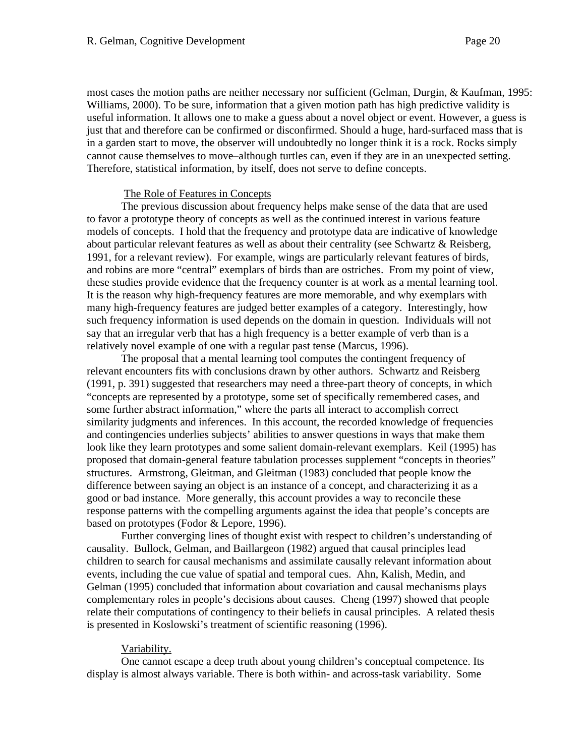most cases the motion paths are neither necessary nor sufficient (Gelman, Durgin, & Kaufman, 1995: Williams, 2000). To be sure, information that a given motion path has high predictive validity is useful information. It allows one to make a guess about a novel object or event. However, a guess is just that and therefore can be confirmed or disconfirmed. Should a huge, hard-surfaced mass that is in a garden start to move, the observer will undoubtedly no longer think it is a rock. Rocks simply cannot cause themselves to move–although turtles can, even if they are in an unexpected setting. Therefore, statistical information, by itself, does not serve to define concepts.

## The Role of Features in Concepts

The previous discussion about frequency helps make sense of the data that are used to favor a prototype theory of concepts as well as the continued interest in various feature models of concepts. I hold that the frequency and prototype data are indicative of knowledge about particular relevant features as well as about their centrality (see Schwartz & Reisberg, 1991, for a relevant review). For example, wings are particularly relevant features of birds, and robins are more "central" exemplars of birds than are ostriches. From my point of view, these studies provide evidence that the frequency counter is at work as a mental learning tool. It is the reason why high-frequency features are more memorable, and why exemplars with many high-frequency features are judged better examples of a category. Interestingly, how such frequency information is used depends on the domain in question. Individuals will not say that an irregular verb that has a high frequency is a better example of verb than is a relatively novel example of one with a regular past tense (Marcus, 1996).

The proposal that a mental learning tool computes the contingent frequency of relevant encounters fits with conclusions drawn by other authors. Schwartz and Reisberg (1991, p. 391) suggested that researchers may need a three-part theory of concepts, in which "concepts are represented by a prototype, some set of specifically remembered cases, and some further abstract information," where the parts all interact to accomplish correct similarity judgments and inferences. In this account, the recorded knowledge of frequencies and contingencies underlies subjects' abilities to answer questions in ways that make them look like they learn prototypes and some salient domain-relevant exemplars. Keil (1995) has proposed that domain-general feature tabulation processes supplement "concepts in theories" structures. Armstrong, Gleitman, and Gleitman (1983) concluded that people know the difference between saying an object is an instance of a concept, and characterizing it as a good or bad instance. More generally, this account provides a way to reconcile these response patterns with the compelling arguments against the idea that people's concepts are based on prototypes (Fodor & Lepore, 1996).

Further converging lines of thought exist with respect to children's understanding of causality. Bullock, Gelman, and Baillargeon (1982) argued that causal principles lead children to search for causal mechanisms and assimilate causally relevant information about events, including the cue value of spatial and temporal cues. Ahn, Kalish, Medin, and Gelman (1995) concluded that information about covariation and causal mechanisms plays complementary roles in people's decisions about causes. Cheng (1997) showed that people relate their computations of contingency to their beliefs in causal principles. A related thesis is presented in Koslowski's treatment of scientific reasoning (1996).

# Variability.

One cannot escape a deep truth about young children's conceptual competence. Its display is almost always variable. There is both within- and across-task variability. Some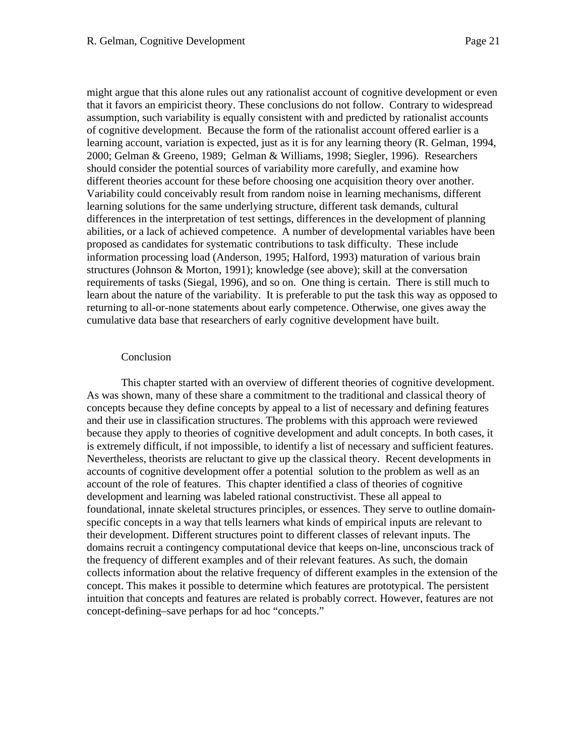might argue that this alone rules out any rationalist account of cognitive development or even that it favors an empiricist theory. These conclusions do not follow. Contrary to widespread assumption, such variability is equally consistent with and predicted by rationalist accounts of cognitive development. Because the form of the rationalist account offered earlier is a learning account, variation is expected, just as it is for any learning theory (R. Gelman, 1994, 2000; Gelman & Greeno, 1989; Gelman & Williams, 1998; Siegler, 1996). Researchers should consider the potential sources of variability more carefully, and examine how different theories account for these before choosing one acquisition theory over another. Variability could conceivably result from random noise in learning mechanisms, different learning solutions for the same underlying structure, different task demands, cultural differences in the interpretation of test settings, differences in the development of planning abilities, or a lack of achieved competence. A number of developmental variables have been proposed as candidates for systematic contributions to task difficulty. These include information processing load (Anderson, 1995; Halford, 1993) maturation of various brain structures (Johnson & Morton, 1991); knowledge (see above); skill at the conversation requirements of tasks (Siegal, 1996), and so on. One thing is certain. There is still much to learn about the nature of the variability. It is preferable to put the task this way as opposed to returning to all-or-none statements about early competence. Otherwise, one gives away the cumulative data base that researchers of early cognitive development have built.

## Conclusion

This chapter started with an overview of different theories of cognitive development. As was shown, many of these share a commitment to the traditional and classical theory of concepts because they define concepts by appeal to a list of necessary and defining features and their use in classification structures. The problems with this approach were reviewed because they apply to theories of cognitive development and adult concepts. In both cases, it is extremely difficult, if not impossible, to identify a list of necessary and sufficient features. Nevertheless, theorists are reluctant to give up the classical theory. Recent developments in accounts of cognitive development offer a potential solution to the problem as well as an account of the role of features. This chapter identified a class of theories of cognitive development and learning was labeled rational constructivist. These all appeal to foundational, innate skeletal structures principles, or essences. They serve to outline domainspecific concepts in a way that tells learners what kinds of empirical inputs are relevant to their development. Different structures point to different classes of relevant inputs. The domains recruit a contingency computational device that keeps on-line, unconscious track of the frequency of different examples and of their relevant features. As such, the domain collects information about the relative frequency of different examples in the extension of the concept. This makes it possible to determine which features are prototypical. The persistent intuition that concepts and features are related is probably correct. However, features are not concept-defining–save perhaps for ad hoc "concepts."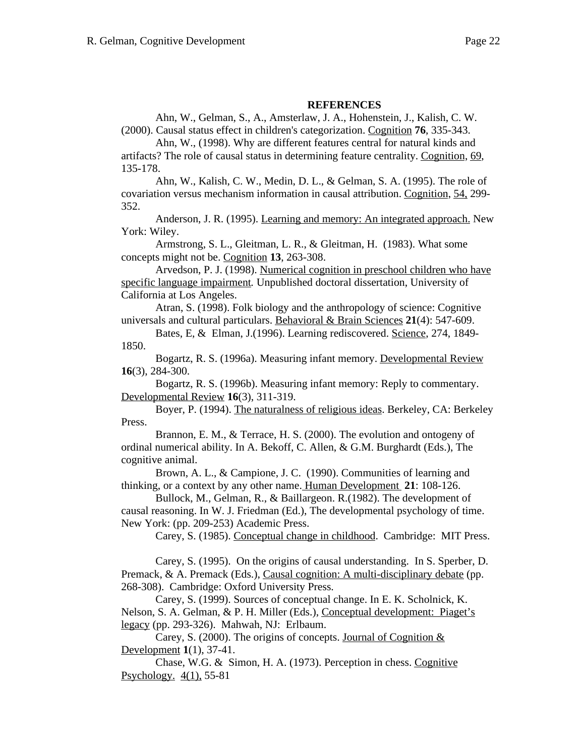# **REFERENCES**

Ahn, W., Gelman, S., A., Amsterlaw, J. A., Hohenstein, J., Kalish, C. W. (2000). Causal status effect in children's categorization. Cognition **76**, 335-343.

Ahn, W., (1998). Why are different features central for natural kinds and artifacts? The role of causal status in determining feature centrality. Cognition, 69, 135-178.

Ahn, W., Kalish, C. W., Medin, D. L., & Gelman, S. A. (1995). The role of covariation versus mechanism information in causal attribution. Cognition, 54, 299- 352.

Anderson, J. R. (1995). Learning and memory: An integrated approach. New York: Wiley.

Armstrong, S. L., Gleitman, L. R., & Gleitman, H. (1983). What some concepts might not be. Cognition **13**, 263-308.

Arvedson, P. J. (1998). Numerical cognition in preschool children who have specific language impairment*.* Unpublished doctoral dissertation, University of California at Los Angeles.

Atran, S. (1998). Folk biology and the anthropology of science: Cognitive universals and cultural particulars. Behavioral & Brain Sciences **21**(4): 547-609.

Bates, E, & Elman, J. (1996). Learning rediscovered. Science, 274, 1849-1850.

Bogartz, R. S. (1996a). Measuring infant memory. Developmental Review **16**(3), 284-300.

Bogartz, R. S. (1996b). Measuring infant memory: Reply to commentary. Developmental Review **16**(3), 311-319.

Boyer, P. (1994). The naturalness of religious ideas. Berkeley, CA: Berkeley Press.

Brannon, E. M., & Terrace, H. S. (2000). The evolution and ontogeny of ordinal numerical ability. In A. Bekoff, C. Allen, & G.M. Burghardt (Eds.), The cognitive animal.

Brown, A. L., & Campione, J. C. (1990). Communities of learning and thinking, or a context by any other name. Human Development **21**: 108-126.

Bullock, M., Gelman, R., & Baillargeon. R.(1982). The development of causal reasoning. In W. J. Friedman (Ed.), The developmental psychology of time. New York: (pp. 209-253) Academic Press.

Carey, S. (1985). Conceptual change in childhood. Cambridge: MIT Press.

Carey, S. (1995). On the origins of causal understanding. In S. Sperber, D. Premack, & A. Premack (Eds.), Causal cognition: A multi-disciplinary debate (pp. 268-308). Cambridge: Oxford University Press.

Carey, S. (1999). Sources of conceptual change. In E. K. Scholnick, K. Nelson, S. A. Gelman, & P. H. Miller (Eds.), Conceptual development: Piaget's legacy (pp. 293-326). Mahwah, NJ: Erlbaum.

Carey, S. (2000). The origins of concepts. Journal of Cognition  $&$ Development **1**(1), 37-41.

Chase, W.G. & Simon, H. A. (1973). Perception in chess. Cognitive Psychology. 4(1), 55-81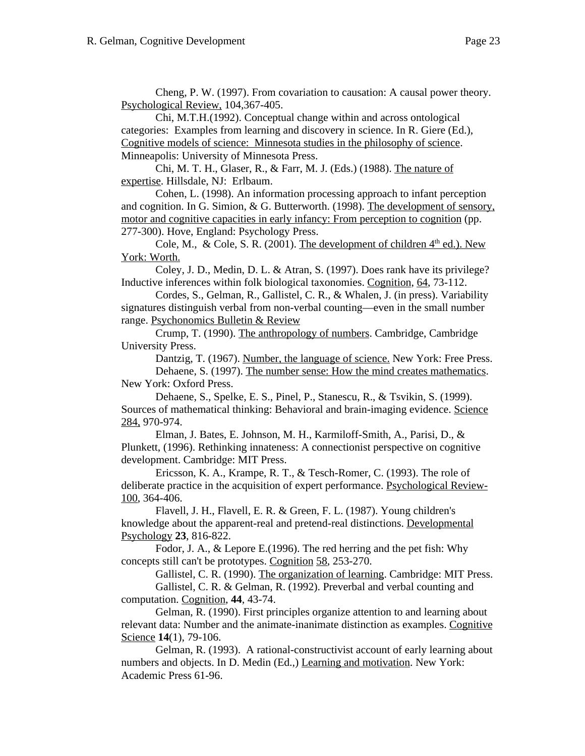Cheng, P. W. (1997). From covariation to causation: A causal power theory. Psychological Review, 104,367-405.

Chi, M.T.H.(1992). Conceptual change within and across ontological categories: Examples from learning and discovery in science. In R. Giere (Ed.), Cognitive models of science: Minnesota studies in the philosophy of science. Minneapolis: University of Minnesota Press.

Chi, M. T. H., Glaser, R., & Farr, M. J. (Eds.) (1988). The nature of expertise. Hillsdale, NJ: Erlbaum.

Cohen, L. (1998). An information processing approach to infant perception and cognition. In G. Simion, & G. Butterworth. (1998). The development of sensory, motor and cognitive capacities in early infancy: From perception to cognition (pp. 277-300). Hove, England: Psychology Press.

Cole, M., & Cole, S. R. (2001). The development of children  $4<sup>th</sup>$  ed.). New York: Worth.

Coley, J. D., Medin, D. L. & Atran, S. (1997). Does rank have its privilege? Inductive inferences within folk biological taxonomies. Cognition, 64, 73-112.

Cordes, S., Gelman, R., Gallistel, C. R., & Whalen, J. (in press). Variability signatures distinguish verbal from non-verbal counting—even in the small number range. Psychonomics Bulletin & Review

Crump, T. (1990). The anthropology of numbers. Cambridge, Cambridge University Press.

Dantzig, T. (1967). Number, the language of science. New York: Free Press. Dehaene, S. (1997). The number sense: How the mind creates mathematics. New York: Oxford Press.

Dehaene, S., Spelke, E. S., Pinel, P., Stanescu, R., & Tsvikin, S. (1999). Sources of mathematical thinking: Behavioral and brain-imaging evidence. Science 284, 970-974.

Elman, J. Bates, E. Johnson, M. H., Karmiloff-Smith, A., Parisi, D., & Plunkett, (1996). Rethinking innateness: A connectionist perspective on cognitive development. Cambridge: MIT Press.

Ericsson, K. A., Krampe, R. T., & Tesch-Romer, C. (1993). The role of deliberate practice in the acquisition of expert performance. Psychological Review-100, 364-406.

Flavell, J. H., Flavell, E. R. & Green, F. L. (1987). Young children's knowledge about the apparent-real and pretend-real distinctions. Developmental Psychology **23**, 816-822.

Fodor, J. A., & Lepore E.(1996). The red herring and the pet fish: Why concepts still can't be prototypes. Cognition 58, 253-270.

Gallistel, C. R. (1990). The organization of learning. Cambridge: MIT Press. Gallistel, C. R. & Gelman, R. (1992). Preverbal and verbal counting and computation. Cognition, **44**, 43-74.

Gelman, R. (1990). First principles organize attention to and learning about relevant data: Number and the animate-inanimate distinction as examples. Cognitive Science **14**(1), 79-106.

Gelman, R. (1993). A rational-constructivist account of early learning about numbers and objects. In D. Medin (Ed.,) Learning and motivation. New York: Academic Press 61-96.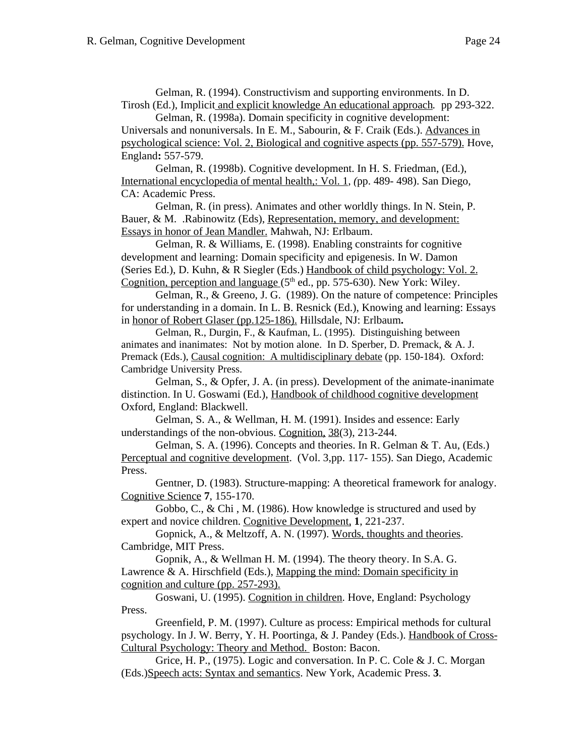Gelman, R. (1994). Constructivism and supporting environments. In D. Tirosh (Ed.), Implicit and explicit knowledge An educational approach*.* pp 293-322.

Gelman, R. (1998a). Domain specificity in cognitive development: Universals and nonuniversals. In E. M., Sabourin, & F. Craik (Eds.). Advances in psychological science: Vol. 2, Biological and cognitive aspects (pp. 557-579). Hove, England**:** 557-579.

Gelman, R. (1998b). Cognitive development. In H. S. Friedman, (Ed.), International encyclopedia of mental health,: Vol. 1*, (*pp. 489- 498). San Diego, CA: Academic Press.

Gelman, R. (in press). Animates and other worldly things. In N. Stein, P. Bauer, & M. .Rabinowitz (Eds), Representation, memory, and development: Essays in honor of Jean Mandler. Mahwah, NJ: Erlbaum.

Gelman, R. & Williams, E. (1998). Enabling constraints for cognitive development and learning: Domain specificity and epigenesis. In W. Damon (Series Ed.), D. Kuhn, & R Siegler (Eds.) Handbook of child psychology: Vol. 2. Cognition, perception and language  $(5<sup>th</sup>$  ed., pp. 575-630). New York: Wiley.

Gelman, R., & Greeno, J. G. (1989). On the nature of competence: Principles for understanding in a domain. In L. B. Resnick (Ed.), Knowing and learning: Essays in honor of Robert Glaser (pp.125-186). Hillsdale, NJ: Erlbaum**.**

Gelman, R., Durgin, F., & Kaufman, L. (1995). Distinguishing between animates and inanimates: Not by motion alone. In D. Sperber, D. Premack, & A. J. Premack (Eds.), Causal cognition: A multidisciplinary debate (pp. 150-184). Oxford: Cambridge University Press.

Gelman, S., & Opfer, J. A. (in press). Development of the animate-inanimate distinction. In U. Goswami (Ed.), Handbook of childhood cognitive development Oxford, England: Blackwell.

Gelman, S. A., & Wellman, H. M. (1991). Insides and essence: Early understandings of the non-obvious. Cognition, 38(3), 213-244.

Gelman, S. A. (1996). Concepts and theories. In R. Gelman & T. Au, (Eds.) Perceptual and cognitive development. (Vol. 3,pp. 117- 155). San Diego, Academic Press.

Gentner, D. (1983). Structure-mapping: A theoretical framework for analogy. Cognitive Science **7**, 155-170.

Gobbo, C., & Chi , M. (1986). How knowledge is structured and used by expert and novice children. Cognitive Development, **1**, 221-237.

Gopnick, A., & Meltzoff, A. N. (1997). Words, thoughts and theories. Cambridge, MIT Press.

Gopnik, A., & Wellman H. M. (1994). The theory theory. In S.A. G. Lawrence & A. Hirschfield (Eds.), Mapping the mind: Domain specificity in cognition and culture (pp. 257-293).

Goswani, U. (1995). Cognition in children. Hove, England: Psychology Press.

Greenfield, P. M. (1997). Culture as process: Empirical methods for cultural psychology. In J. W. Berry, Y. H. Poortinga, & J. Pandey (Eds.). Handbook of Cross-Cultural Psychology: Theory and Method. Boston: Bacon.

Grice, H. P., (1975). Logic and conversation. In P. C. Cole & J. C. Morgan (Eds.)Speech acts: Syntax and semantics. New York, Academic Press. **3**.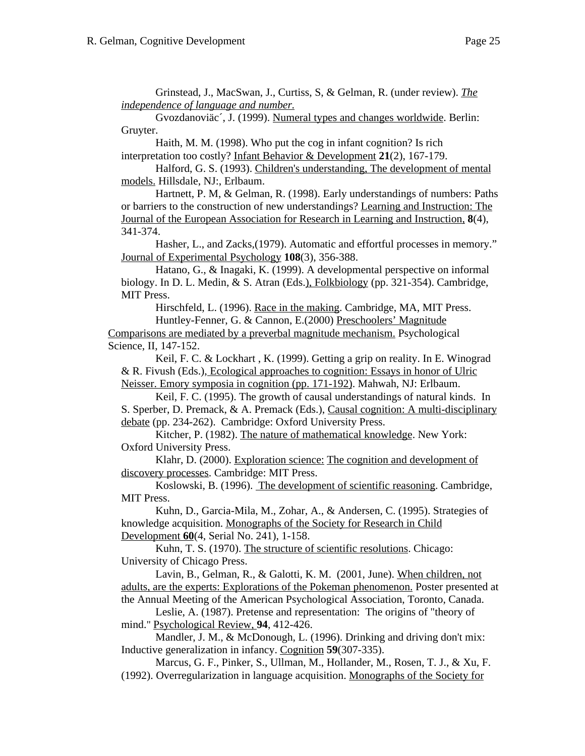Grinstead, J., MacSwan, J., Curtiss, S, & Gelman, R. (under review). *The independence of language and number.*

Gvozdanoviäc´, J. (1999). Numeral types and changes worldwide. Berlin: Gruyter.

Haith, M. M. (1998). Who put the cog in infant cognition? Is rich interpretation too costly? Infant Behavior & Development **21**(2), 167-179.

Halford, G. S. (1993). Children's understanding, The development of mental models. Hillsdale, NJ:, Erlbaum.

Hartnett, P. M, & Gelman, R. (1998). Early understandings of numbers: Paths or barriers to the construction of new understandings? Learning and Instruction: The Journal of the European Association for Research in Learning and Instruction, **8**(4), 341-374.

Hasher, L., and Zacks,(1979). Automatic and effortful processes in memory." Journal of Experimental Psychology **108**(3), 356-388.

Hatano, G., & Inagaki, K. (1999). A developmental perspective on informal biology. In D. L. Medin, & S. Atran (Eds.), Folkbiology (pp. 321-354). Cambridge, MIT Press.

Hirschfeld, L. (1996). Race in the making. Cambridge, MA, MIT Press.

Huntley-Fenner, G. & Cannon, E.(2000) Preschoolers' Magnitude Comparisons are mediated by a preverbal magnitude mechanism. Psychological Science, II, 147-152.

Keil, F. C. & Lockhart , K. (1999). Getting a grip on reality. In E. Winograd & R. Fivush (Eds.), Ecological approaches to cognition: Essays in honor of Ulric Neisser. Emory symposia in cognition (pp. 171-192). Mahwah, NJ: Erlbaum.

Keil, F. C. (1995). The growth of causal understandings of natural kinds. In S. Sperber, D. Premack, & A. Premack (Eds.), Causal cognition: A multi-disciplinary debate (pp. 234-262). Cambridge: Oxford University Press.

Kitcher, P. (1982). The nature of mathematical knowledge. New York: Oxford University Press.

Klahr, D. (2000). Exploration science: The cognition and development of discovery processes. Cambridge: MIT Press.

Koslowski, B. (1996). The development of scientific reasoning. Cambridge, MIT Press.

Kuhn, D., Garcia-Mila, M., Zohar, A., & Andersen, C. (1995). Strategies of knowledge acquisition. Monographs of the Society for Research in Child Development **60**(4, Serial No. 241), 1-158.

Kuhn, T. S. (1970). The structure of scientific resolutions. Chicago: University of Chicago Press.

Lavin, B., Gelman, R., & Galotti, K. M. (2001, June). When children, not adults, are the experts: Explorations of the Pokeman phenomenon. Poster presented at the Annual Meeting of the American Psychological Association, Toronto, Canada.

Leslie, A. (1987). Pretense and representation: The origins of "theory of mind." Psychological Review, **94**, 412-426.

Mandler, J. M., & McDonough, L. (1996). Drinking and driving don't mix: Inductive generalization in infancy. Cognition **59**(307-335).

Marcus, G. F., Pinker, S., Ullman, M., Hollander, M., Rosen, T. J., & Xu, F. (1992). Overregularization in language acquisition. Monographs of the Society for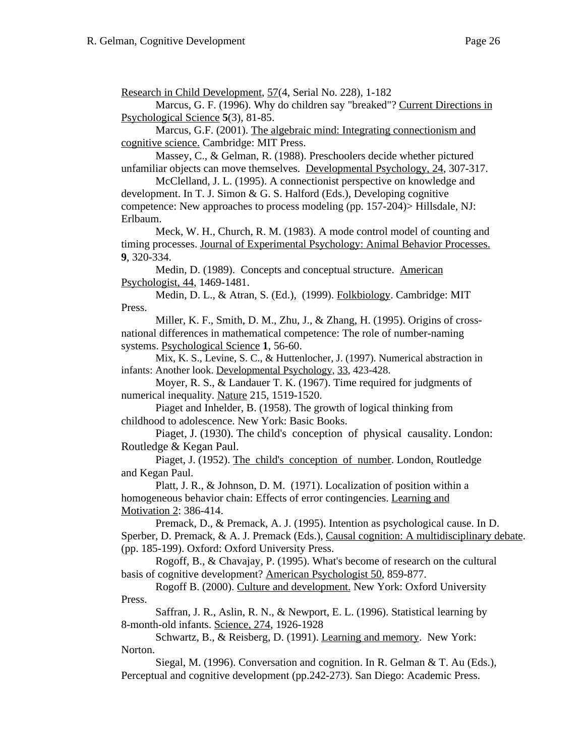Research in Child Development, 57(4, Serial No. 228), 1-182

Marcus, G. F. (1996). Why do children say "breaked"? Current Directions in Psychological Science **5**(3), 81-85.

Marcus, G.F. (2001). The algebraic mind: Integrating connectionism and cognitive science. Cambridge: MIT Press.

Massey, C., & Gelman, R. (1988). Preschoolers decide whether pictured unfamiliar objects can move themselves. Developmental Psychology, 24, 307-317.

McClelland, J. L. (1995). A connectionist perspective on knowledge and development. In T. J. Simon & G. S. Halford (Eds.), Developing cognitive competence: New approaches to process modeling (pp. 157-204)> Hillsdale, NJ: Erlbaum.

Meck, W. H., Church, R. M. (1983). A mode control model of counting and timing processes. Journal of Experimental Psychology: Animal Behavior Processes. **9**, 320-334.

Medin, D. (1989). Concepts and conceptual structure. American Psychologist, 44, 1469-1481.

Medin, D. L., & Atran, S. (Ed.), (1999). Folkbiology. Cambridge: MIT Press.

Miller, K. F., Smith, D. M., Zhu, J., & Zhang, H. (1995). Origins of crossnational differences in mathematical competence: The role of number-naming systems. Psychological Science **1**, 56-60.

Mix, K. S., Levine, S. C., & Huttenlocher, J. (1997). Numerical abstraction in infants: Another look. Developmental Psychology, 33, 423-428.

Moyer, R. S., & Landauer T. K. (1967). Time required for judgments of numerical inequality. Nature 215, 1519-1520.

Piaget and Inhelder, B. (1958). The growth of logical thinking from childhood to adolescence. New York: Basic Books.

Piaget, J. (1930). The child's conception of physical causality. London: Routledge & Kegan Paul.

Piaget, J. (1952). The child's conception of number. London, Routledge and Kegan Paul.

Platt, J. R., & Johnson, D. M. (1971). Localization of position within a homogeneous behavior chain: Effects of error contingencies. Learning and Motivation 2: 386-414.

Premack, D., & Premack, A. J. (1995). Intention as psychological cause. In D. Sperber, D. Premack, & A. J. Premack (Eds.), Causal cognition: A multidisciplinary debate. (pp. 185-199). Oxford: Oxford University Press.

Rogoff, B., & Chavajay, P. (1995). What's become of research on the cultural basis of cognitive development? American Psychologist 50, 859-877.

Rogoff B. (2000). Culture and development. New York: Oxford University Press.

Saffran, J. R., Aslin, R. N., & Newport, E. L. (1996). Statistical learning by 8-month-old infants. Science, 274, 1926-1928

Schwartz, B., & Reisberg, D. (1991). Learning and memory. New York: Norton.

Siegal, M. (1996). Conversation and cognition. In R. Gelman & T. Au (Eds.), Perceptual and cognitive development (pp.242-273). San Diego: Academic Press.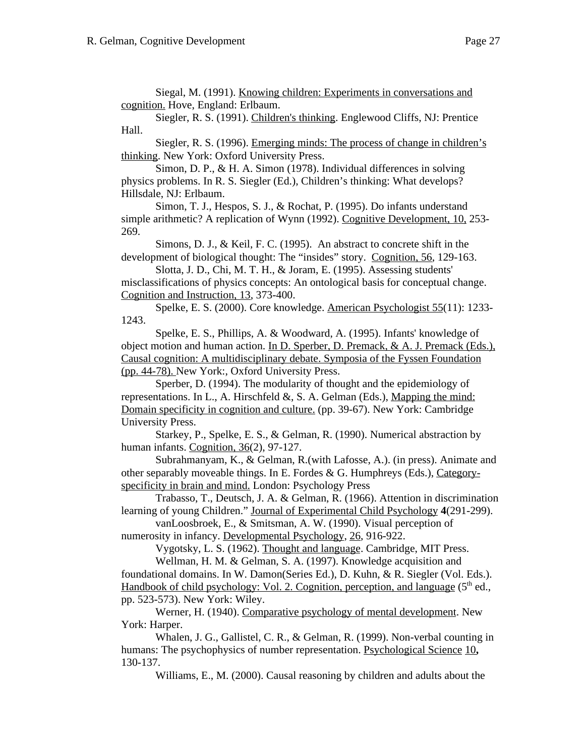Siegal, M. (1991). Knowing children: Experiments in conversations and cognition. Hove, England: Erlbaum.

Siegler, R. S. (1991). Children's thinking. Englewood Cliffs, NJ: Prentice Hall.

Siegler, R. S. (1996). Emerging minds: The process of change in children's thinking. New York: Oxford University Press.

Simon, D. P., & H. A. Simon (1978). Individual differences in solving physics problems. In R. S. Siegler (Ed.), Children's thinking: What develops? Hillsdale, NJ: Erlbaum.

Simon, T. J., Hespos, S. J., & Rochat, P. (1995). Do infants understand simple arithmetic? A replication of Wynn (1992). Cognitive Development, 10, 253- 269.

Simons, D. J., & Keil, F. C. (1995). An abstract to concrete shift in the development of biological thought: The "insides" story. Cognition, 56, 129-163.

Slotta, J. D., Chi, M. T. H., & Joram, E. (1995). Assessing students' misclassifications of physics concepts: An ontological basis for conceptual change. Cognition and Instruction, 13, 373-400.

Spelke, E. S. (2000). Core knowledge. American Psychologist 55(11): 1233- 1243.

Spelke, E. S., Phillips, A. & Woodward, A. (1995). Infants' knowledge of object motion and human action. In D. Sperber, D. Premack, & A. J. Premack (Eds.), Causal cognition: A multidisciplinary debate. Symposia of the Fyssen Foundation (pp. 44-78). New York:, Oxford University Press.

Sperber, D. (1994). The modularity of thought and the epidemiology of representations. In L., A. Hirschfeld  $\&$ , S. A. Gelman (Eds.), Mapping the mind: Domain specificity in cognition and culture. (pp. 39-67). New York: Cambridge University Press.

Starkey, P., Spelke, E. S., & Gelman, R. (1990). Numerical abstraction by human infants. Cognition, 36(2), 97-127.

Subrahmanyam, K., & Gelman, R.(with Lafosse, A.). (in press). Animate and other separably moveable things. In E. Fordes & G. Humphreys (Eds.), Categoryspecificity in brain and mind. London: Psychology Press

Trabasso, T., Deutsch, J. A. & Gelman, R. (1966). Attention in discrimination learning of young Children." Journal of Experimental Child Psychology **4**(291-299).

vanLoosbroek, E., & Smitsman, A. W. (1990). Visual perception of numerosity in infancy. Developmental Psychology, 26, 916-922.

Vygotsky, L. S. (1962). Thought and language. Cambridge, MIT Press.

Wellman, H. M. & Gelman, S. A. (1997). Knowledge acquisition and foundational domains. In W. Damon(Series Ed.), D. Kuhn, & R. Siegler (Vol. Eds.). Handbook of child psychology: Vol. 2. Cognition, perception, and language ( $5<sup>th</sup>$  ed., pp. 523-573). New York: Wiley.

Werner, H. (1940). Comparative psychology of mental development. New York: Harper.

Whalen, J. G., Gallistel, C. R., & Gelman, R. (1999). Non-verbal counting in humans: The psychophysics of number representation. Psychological Science 10**,** 130-137.

Williams, E., M. (2000). Causal reasoning by children and adults about the